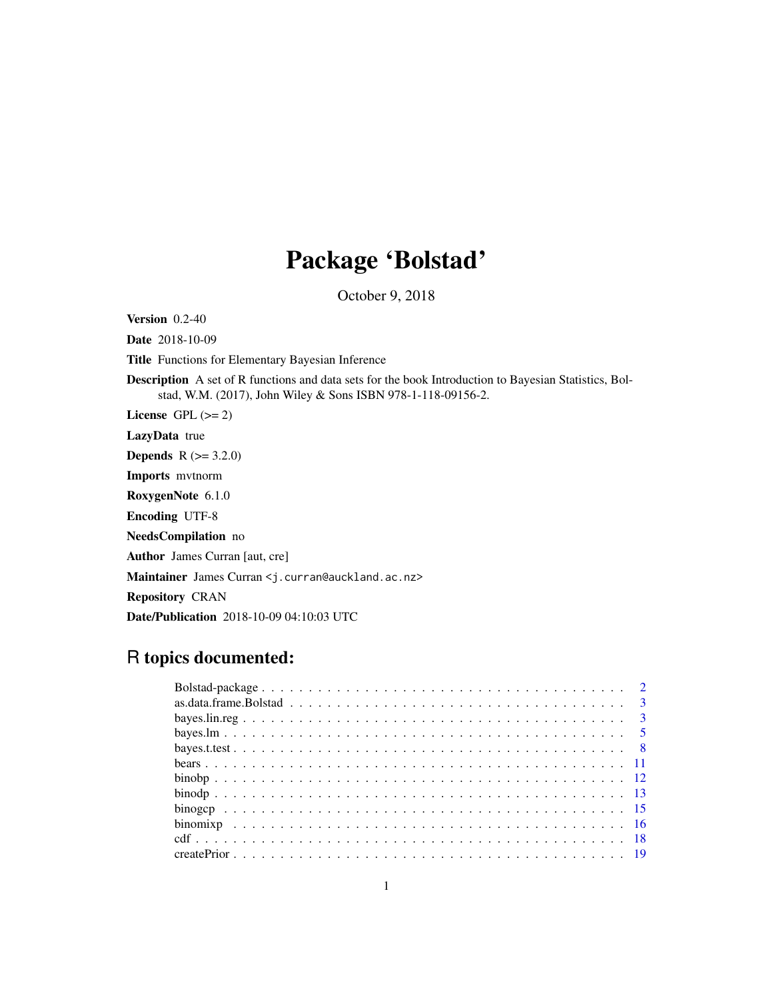# Package 'Bolstad'

October 9, 2018

<span id="page-0-0"></span>Version 0.2-40

Date 2018-10-09

Title Functions for Elementary Bayesian Inference

Description A set of R functions and data sets for the book Introduction to Bayesian Statistics, Bolstad, W.M. (2017), John Wiley & Sons ISBN 978-1-118-09156-2.

License GPL  $(>= 2)$ 

LazyData true

**Depends** R  $(>= 3.2.0)$ 

Imports mvtnorm

RoxygenNote 6.1.0

Encoding UTF-8

NeedsCompilation no

Author James Curran [aut, cre]

Maintainer James Curran <j.curran@auckland.ac.nz>

Repository CRAN

Date/Publication 2018-10-09 04:10:03 UTC

# R topics documented:

| $\frac{1}{2}$ |  |  |  |  |  |  |  |  |  |  |  |  |  |  |  |  |  |
|---------------|--|--|--|--|--|--|--|--|--|--|--|--|--|--|--|--|--|
|               |  |  |  |  |  |  |  |  |  |  |  |  |  |  |  |  |  |
|               |  |  |  |  |  |  |  |  |  |  |  |  |  |  |  |  |  |
|               |  |  |  |  |  |  |  |  |  |  |  |  |  |  |  |  |  |
|               |  |  |  |  |  |  |  |  |  |  |  |  |  |  |  |  |  |
|               |  |  |  |  |  |  |  |  |  |  |  |  |  |  |  |  |  |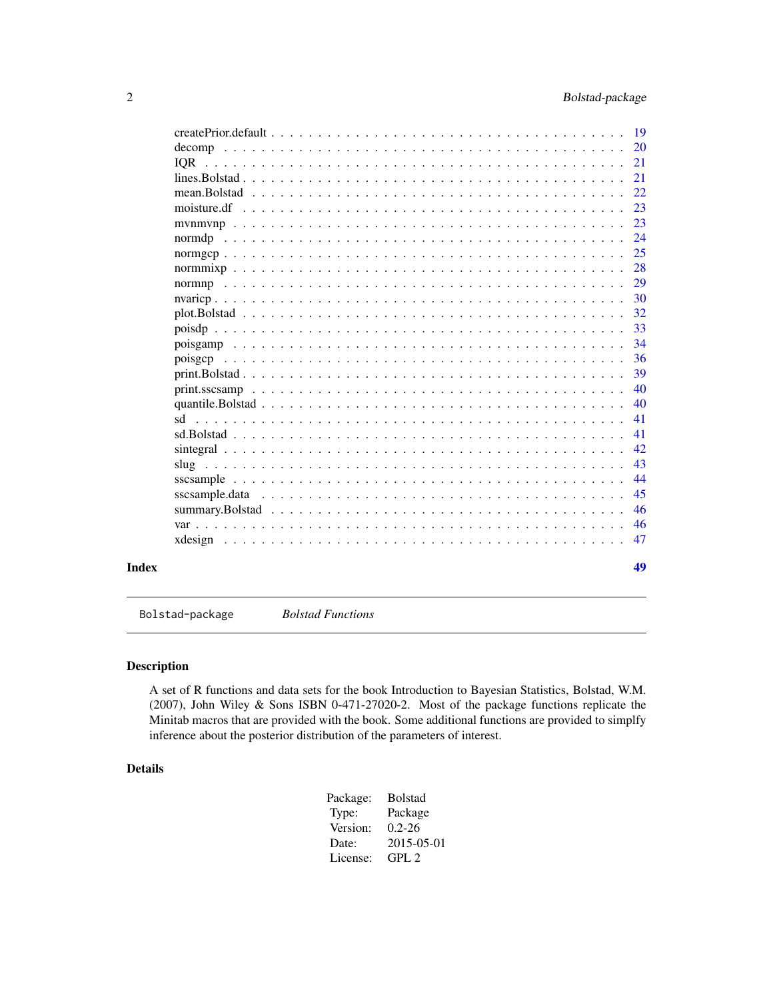<span id="page-1-0"></span>

|  |  |  |  |  |  |  |  |  |  |  |  |  | 21 |
|--|--|--|--|--|--|--|--|--|--|--|--|--|----|
|  |  |  |  |  |  |  |  |  |  |  |  |  | 21 |
|  |  |  |  |  |  |  |  |  |  |  |  |  | 22 |
|  |  |  |  |  |  |  |  |  |  |  |  |  | 23 |
|  |  |  |  |  |  |  |  |  |  |  |  |  | 23 |
|  |  |  |  |  |  |  |  |  |  |  |  |  | 24 |
|  |  |  |  |  |  |  |  |  |  |  |  |  | 25 |
|  |  |  |  |  |  |  |  |  |  |  |  |  | 28 |
|  |  |  |  |  |  |  |  |  |  |  |  |  | 29 |
|  |  |  |  |  |  |  |  |  |  |  |  |  | 30 |
|  |  |  |  |  |  |  |  |  |  |  |  |  | 32 |
|  |  |  |  |  |  |  |  |  |  |  |  |  | 33 |
|  |  |  |  |  |  |  |  |  |  |  |  |  | 34 |
|  |  |  |  |  |  |  |  |  |  |  |  |  | 36 |
|  |  |  |  |  |  |  |  |  |  |  |  |  | 39 |
|  |  |  |  |  |  |  |  |  |  |  |  |  | 40 |
|  |  |  |  |  |  |  |  |  |  |  |  |  | 40 |
|  |  |  |  |  |  |  |  |  |  |  |  |  | 41 |
|  |  |  |  |  |  |  |  |  |  |  |  |  | 41 |
|  |  |  |  |  |  |  |  |  |  |  |  |  | 42 |
|  |  |  |  |  |  |  |  |  |  |  |  |  | 43 |
|  |  |  |  |  |  |  |  |  |  |  |  |  | 44 |
|  |  |  |  |  |  |  |  |  |  |  |  |  | 45 |
|  |  |  |  |  |  |  |  |  |  |  |  |  | 46 |
|  |  |  |  |  |  |  |  |  |  |  |  |  | 46 |
|  |  |  |  |  |  |  |  |  |  |  |  |  | 47 |
|  |  |  |  |  |  |  |  |  |  |  |  |  |    |
|  |  |  |  |  |  |  |  |  |  |  |  |  | 49 |

Bolstad-package *Bolstad Functions*

# Description

A set of R functions and data sets for the book Introduction to Bayesian Statistics, Bolstad, W.M. (2007), John Wiley & Sons ISBN 0-471-27020-2. Most of the package functions replicate the Minitab macros that are provided with the book. Some additional functions are provided to simplfy inference about the posterior distribution of the parameters of interest.

#### Details

| Package: | <b>Bolstad</b> |
|----------|----------------|
| Type:    | Package        |
| Version: | $0.2 - 26$     |
| Date:    | 2015-05-01     |
| License: | GPI.2          |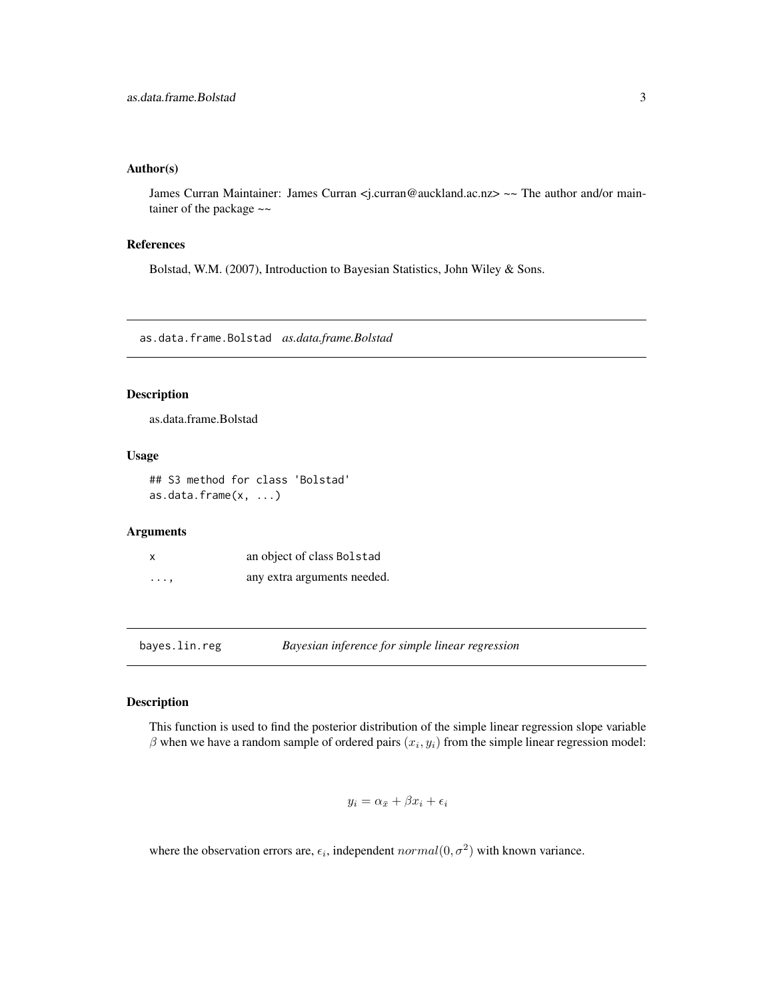#### <span id="page-2-0"></span>Author(s)

James Curran Maintainer: James Curran <j.curran@auckland.ac.nz> ~~ The author and/or maintainer of the package  $\sim$ 

# References

Bolstad, W.M. (2007), Introduction to Bayesian Statistics, John Wiley & Sons.

as.data.frame.Bolstad *as.data.frame.Bolstad*

# Description

as.data.frame.Bolstad

#### Usage

## S3 method for class 'Bolstad' as.data.frame(x, ...)

#### Arguments

| x        | an object of class Bolstad  |
|----------|-----------------------------|
| $\cdots$ | any extra arguments needed. |

bayes.lin.reg *Bayesian inference for simple linear regression*

#### Description

This function is used to find the posterior distribution of the simple linear regression slope variable  $\beta$  when we have a random sample of ordered pairs  $(x_i, y_i)$  from the simple linear regression model:

$$
y_i = \alpha_{\bar{x}} + \beta x_i + \epsilon_i
$$

where the observation errors are,  $\epsilon_i$ , independent  $normal(0, \sigma^2)$  with known variance.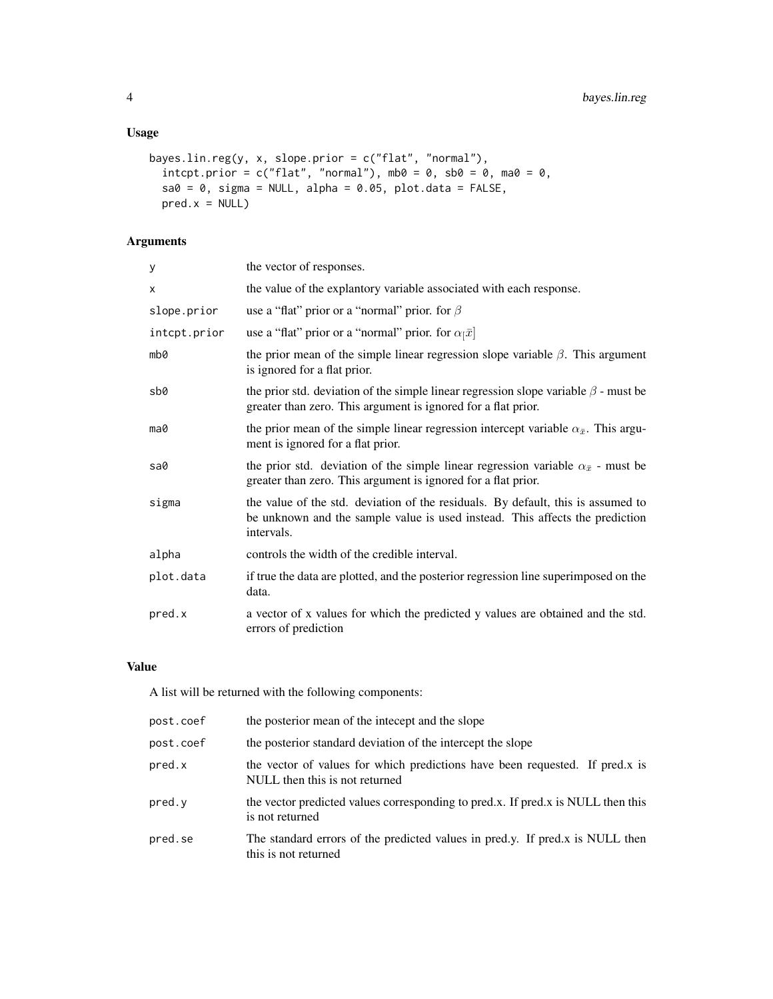# Usage

```
bayes.lin.reg(y, x, slope.prior = c("flat", "normal"),
 intcpt.prior = c("flat", "normal"), mb0 = 0, sb0 = 0, ma0 = 0,sa0 = 0, sigma = NULL, alpha = 0.05, plot.data = FALSE,
 pred.x = NULL
```
# Arguments

| y            | the vector of responses.                                                                                                                                                       |
|--------------|--------------------------------------------------------------------------------------------------------------------------------------------------------------------------------|
| X            | the value of the explantory variable associated with each response.                                                                                                            |
| slope.prior  | use a "flat" prior or a "normal" prior. for $\beta$                                                                                                                            |
| intcpt.prior | use a "flat" prior or a "normal" prior. for $\alpha_{\bar{1}}\bar{x}$ ]                                                                                                        |
| mb0          | the prior mean of the simple linear regression slope variable $\beta$ . This argument<br>is ignored for a flat prior.                                                          |
| sb0          | the prior std. deviation of the simple linear regression slope variable $\beta$ - must be<br>greater than zero. This argument is ignored for a flat prior.                     |
| ma0          | the prior mean of the simple linear regression intercept variable $\alpha_{\bar{x}}$ . This argu-<br>ment is ignored for a flat prior.                                         |
| sa0          | the prior std. deviation of the simple linear regression variable $\alpha_{\bar{x}}$ - must be<br>greater than zero. This argument is ignored for a flat prior.                |
| sigma        | the value of the std. deviation of the residuals. By default, this is assumed to<br>be unknown and the sample value is used instead. This affects the prediction<br>intervals. |
| alpha        | controls the width of the credible interval.                                                                                                                                   |
| plot.data    | if true the data are plotted, and the posterior regression line superimposed on the<br>data.                                                                                   |
| pred.x       | a vector of x values for which the predicted y values are obtained and the std.<br>errors of prediction                                                                        |

# Value

A list will be returned with the following components:

| post.coef | the posterior mean of the intecept and the slope                                                               |
|-----------|----------------------------------------------------------------------------------------------------------------|
| post.coef | the posterior standard deviation of the intercept the slope                                                    |
| pred.x    | the vector of values for which predictions have been requested. If pred.x is<br>NULL then this is not returned |
| pred.y    | the vector predicted values corresponding to pred.x. If pred.x is NULL then this<br>is not returned            |
| pred.se   | The standard errors of the predicted values in pred.y. If pred.x is NULL then<br>this is not returned          |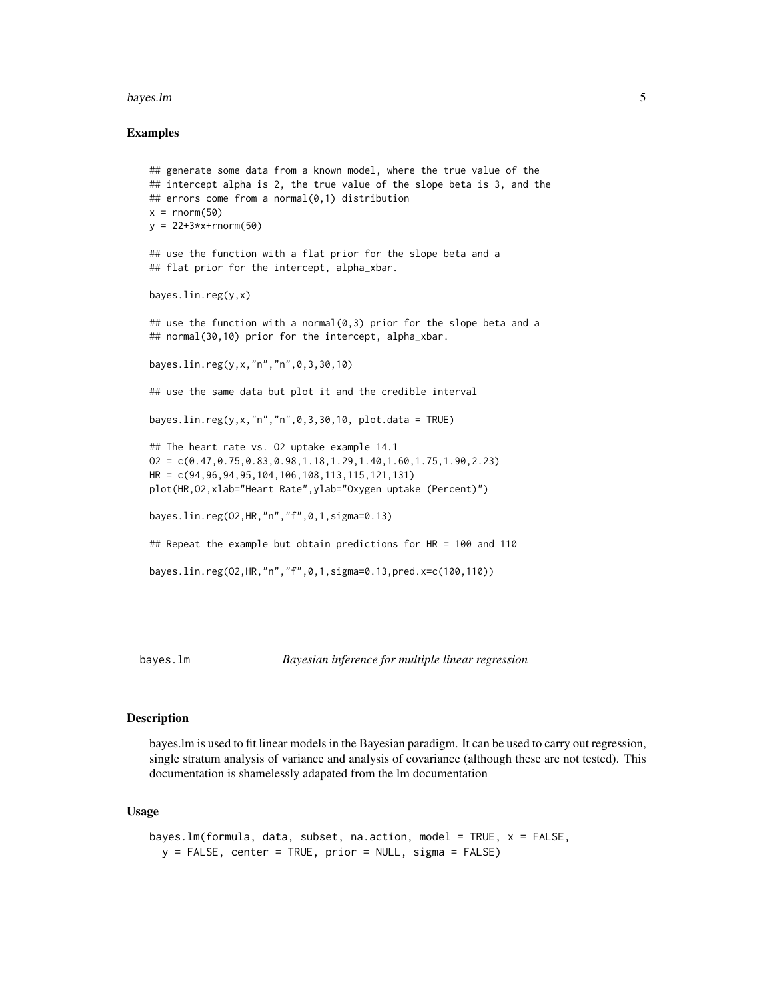#### <span id="page-4-0"></span>bayes.lm 5

#### Examples

```
## generate some data from a known model, where the true value of the
## intercept alpha is 2, the true value of the slope beta is 3, and the
## errors come from a normal(0,1) distribution
x = rnorm(50)y = 22 + 3*x + rnorm(50)## use the function with a flat prior for the slope beta and a
## flat prior for the intercept, alpha_xbar.
bayes.lin.reg(y,x)
## use the function with a normal(0,3) prior for the slope beta and a
## normal(30,10) prior for the intercept, alpha_xbar.
bayes.lin.reg(y,x,"n","n",0,3,30,10)
## use the same data but plot it and the credible interval
bayes.lin.reg(y,x,"n","n",0,3,30,10, plot.data = TRUE)
## The heart rate vs. O2 uptake example 14.1
O2 = C(0.47, 0.75, 0.83, 0.98, 1.18, 1.29, 1.40, 1.60, 1.75, 1.90, 2.23)HR = c(94,96,94,95,104,106,108,113,115,121,131)
plot(HR,O2,xlab="Heart Rate",ylab="Oxygen uptake (Percent)")
bayes.lin.reg(O2,HR,"n","f",0,1,sigma=0.13)
## Repeat the example but obtain predictions for HR = 100 and 110
bayes.lin.reg(O2,HR,"n","f",0,1,sigma=0.13,pred.x=c(100,110))
```
<span id="page-4-1"></span>

#### Description

bayes.lm is used to fit linear models in the Bayesian paradigm. It can be used to carry out regression, single stratum analysis of variance and analysis of covariance (although these are not tested). This documentation is shamelessly adapated from the lm documentation

#### Usage

```
bayes.lm(formula, data, subset, na.action, model = TRUE, x = FALSE,
 y = FALSE, center = TRUE, prior = NULL, sigma = FALSE)
```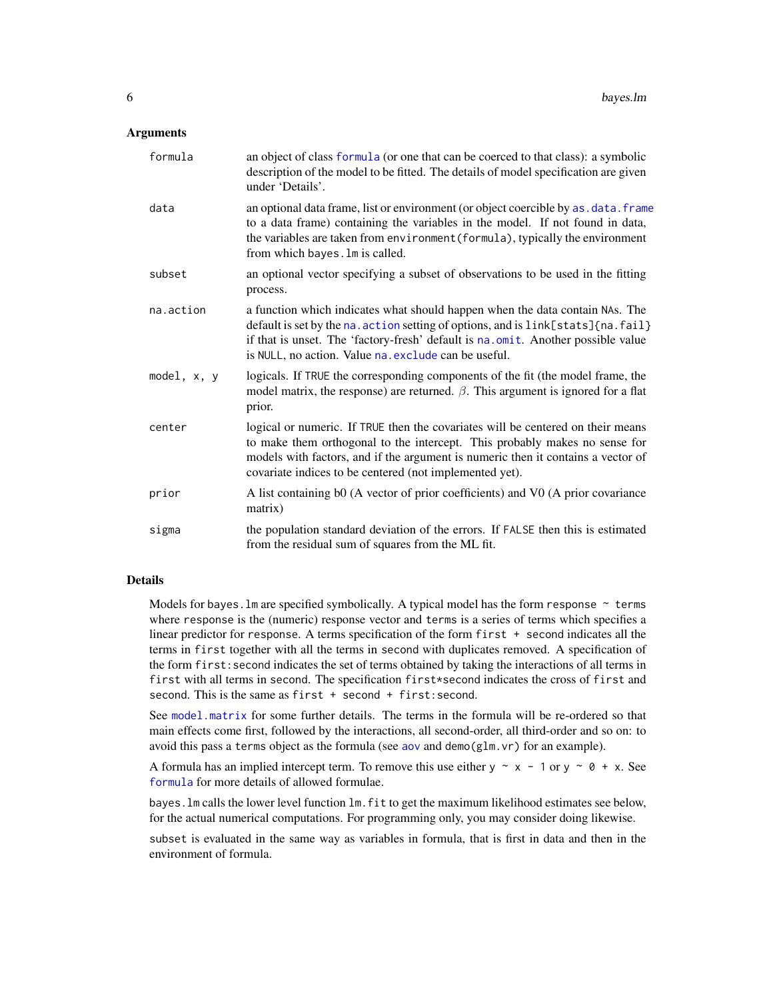#### <span id="page-5-0"></span>**Arguments**

| formula       | an object of class formula (or one that can be coerced to that class): a symbolic<br>description of the model to be fitted. The details of model specification are given<br>under 'Details'.                                                                                                                  |
|---------------|---------------------------------------------------------------------------------------------------------------------------------------------------------------------------------------------------------------------------------------------------------------------------------------------------------------|
| data          | an optional data frame, list or environment (or object coercible by as . data. frame<br>to a data frame) containing the variables in the model. If not found in data,<br>the variables are taken from environment (formula), typically the environment<br>from which bayes. Im is called.                     |
| subset        | an optional vector specifying a subset of observations to be used in the fitting<br>process.                                                                                                                                                                                                                  |
| na.action     | a function which indicates what should happen when the data contain NAs. The<br>default is set by the na. action setting of options, and is link[stats]{na. fail}<br>if that is unset. The 'factory-fresh' default is na.omit. Another possible value<br>is NULL, no action. Value na. exclude can be useful. |
| model, $x, y$ | logicals. If TRUE the corresponding components of the fit (the model frame, the<br>model matrix, the response) are returned. $\beta$ . This argument is ignored for a flat<br>prior.                                                                                                                          |
| center        | logical or numeric. If TRUE then the covariates will be centered on their means<br>to make them orthogonal to the intercept. This probably makes no sense for<br>models with factors, and if the argument is numeric then it contains a vector of<br>covariate indices to be centered (not implemented yet).  |
| prior         | A list containing b0 (A vector of prior coefficients) and V0 (A prior covariance<br>matrix)                                                                                                                                                                                                                   |
| sigma         | the population standard deviation of the errors. If FALSE then this is estimated<br>from the residual sum of squares from the ML fit.                                                                                                                                                                         |

#### Details

Models for bayes. Im are specified symbolically. A typical model has the form response  $\sim$  terms where response is the (numeric) response vector and terms is a series of terms which specifies a linear predictor for response. A terms specification of the form first + second indicates all the terms in first together with all the terms in second with duplicates removed. A specification of the form first:second indicates the set of terms obtained by taking the interactions of all terms in first with all terms in second. The specification first\*second indicates the cross of first and second. This is the same as first + second + first: second.

See [model.matrix](#page-0-0) for some further details. The terms in the formula will be re-ordered so that main effects come first, followed by the interactions, all second-order, all third-order and so on: to avoid this pass a terms object as the formula (see [aov](#page-0-0) and demo( $g1m.vr$ ) for an example).

A formula has an implied intercept term. To remove this use either  $y \sim x - 1$  or  $y \sim 0 + x$ . See [formula](#page-0-0) for more details of allowed formulae.

bayes.lm calls the lower level function lm.fit to get the maximum likelihood estimates see below, for the actual numerical computations. For programming only, you may consider doing likewise.

subset is evaluated in the same way as variables in formula, that is first in data and then in the environment of formula.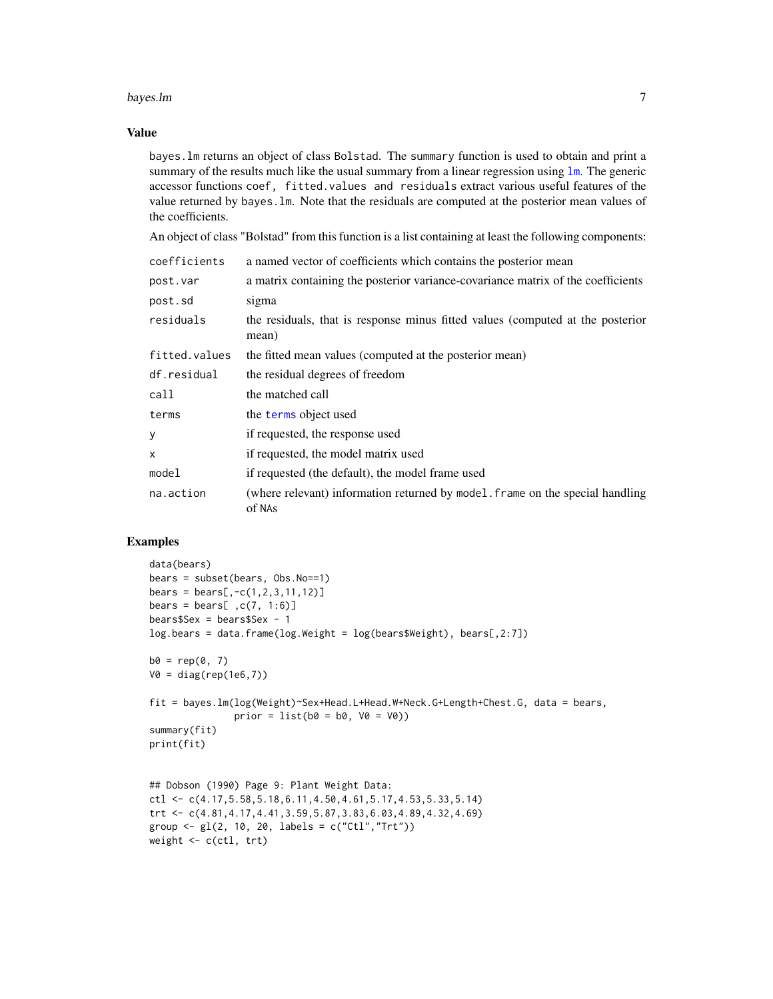#### <span id="page-6-0"></span>bayes.lm 7

#### Value

bayes.lm returns an object of class Bolstad. The summary function is used to obtain and print a summary of the results much like the usual summary from a linear regression using [lm](#page-0-0). The generic accessor functions coef, fitted.values and residuals extract various useful features of the value returned by bayes.lm. Note that the residuals are computed at the posterior mean values of the coefficients.

An object of class "Bolstad" from this function is a list containing at least the following components:

| coefficients  | a named vector of coefficients which contains the posterior mean                        |
|---------------|-----------------------------------------------------------------------------------------|
| post.var      | a matrix containing the posterior variance-covariance matrix of the coefficients        |
| post.sd       | sigma                                                                                   |
| residuals     | the residuals, that is response minus fitted values (computed at the posterior<br>mean) |
| fitted.values | the fitted mean values (computed at the posterior mean)                                 |
| df.residual   | the residual degrees of freedom                                                         |
| call          | the matched call                                                                        |
| terms         | the terms object used                                                                   |
| у             | if requested, the response used                                                         |
| x             | if requested, the model matrix used                                                     |
| model         | if requested (the default), the model frame used                                        |
| na.action     | (where relevant) information returned by model. frame on the special handling<br>of NAs |

# Examples

```
data(bears)
bears = subset(bears, Obs.No==1)
bears = bears[, -c(1, 2, 3, 11, 12)]bears = bears[, c(7, 1:6)]bears$Sex = bears$Sex - 1
log.bears = data.frame(log.Weight = log(bears$Weight), bears[,2:7])
b0 = rep(0, 7)V0 = diag(rep(1e6,7))
fit = bayes.lm(log(Weight)~Sex+Head.L+Head.W+Neck.G+Length+Chest.G, data = bears,
               prior = list(b0 = b0, V0 = V0)summary(fit)
print(fit)
## Dobson (1990) Page 9: Plant Weight Data:
ctl <- c(4.17,5.58,5.18,6.11,4.50,4.61,5.17,4.53,5.33,5.14)
trt <- c(4.81,4.17,4.41,3.59,5.87,3.83,6.03,4.89,4.32,4.69)
group <- gl(2, 10, 20, 1abels = c("Ctl", "Trt"))
```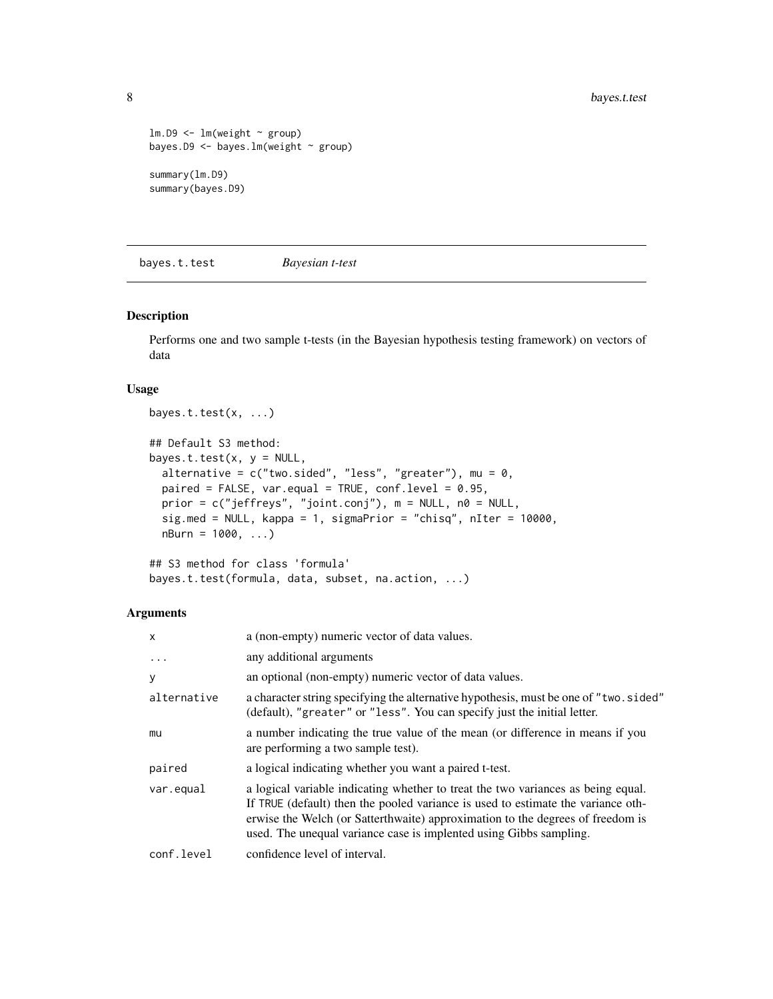```
lm.D9 \leq lm(weight \sim group)bayes.D9 <- bayes.lm(weight ~ group)
summary(lm.D9)
summary(bayes.D9)
```
bayes.t.test *Bayesian t-test*

#### Description

Performs one and two sample t-tests (in the Bayesian hypothesis testing framework) on vectors of data

# Usage

```
bayes.t.test(x, ...)
## Default S3 method:
bayes.t.test(x, y = NULL,
 alternative = c("two(side", "less", "greater"), mu = 0,paired = FALSE, var.equal = TRUE, conf.level = 0.95,
 prior = c("jeffreys", "joint.conj"), m = NULL, n0 = NULL,
  sig.med = NULL, kappa = 1, sigmaPrior = "chisq", nIter = 10000,
 nBurn = 1000, ...
```

```
## S3 method for class 'formula'
bayes.t.test(formula, data, subset, na.action, ...)
```

| $\mathsf{x}$ | a (non-empty) numeric vector of data values.                                                                                                                                                                                                                                                                                 |
|--------------|------------------------------------------------------------------------------------------------------------------------------------------------------------------------------------------------------------------------------------------------------------------------------------------------------------------------------|
| $\ddots$ .   | any additional arguments                                                                                                                                                                                                                                                                                                     |
| y            | an optional (non-empty) numeric vector of data values.                                                                                                                                                                                                                                                                       |
| alternative  | a character string specifying the alternative hypothesis, must be one of "two. sided"<br>(default), "greater" or "less". You can specify just the initial letter.                                                                                                                                                            |
| mu           | a number indicating the true value of the mean (or difference in means if you<br>are performing a two sample test).                                                                                                                                                                                                          |
| paired       | a logical indicating whether you want a paired t-test.                                                                                                                                                                                                                                                                       |
| var.equal    | a logical variable indicating whether to treat the two variances as being equal.<br>If TRUE (default) then the pooled variance is used to estimate the variance oth-<br>erwise the Welch (or Satterthwaite) approximation to the degrees of freedom is<br>used. The unequal variance case is implented using Gibbs sampling. |
| conf.level   | confidence level of interval.                                                                                                                                                                                                                                                                                                |

<span id="page-7-0"></span>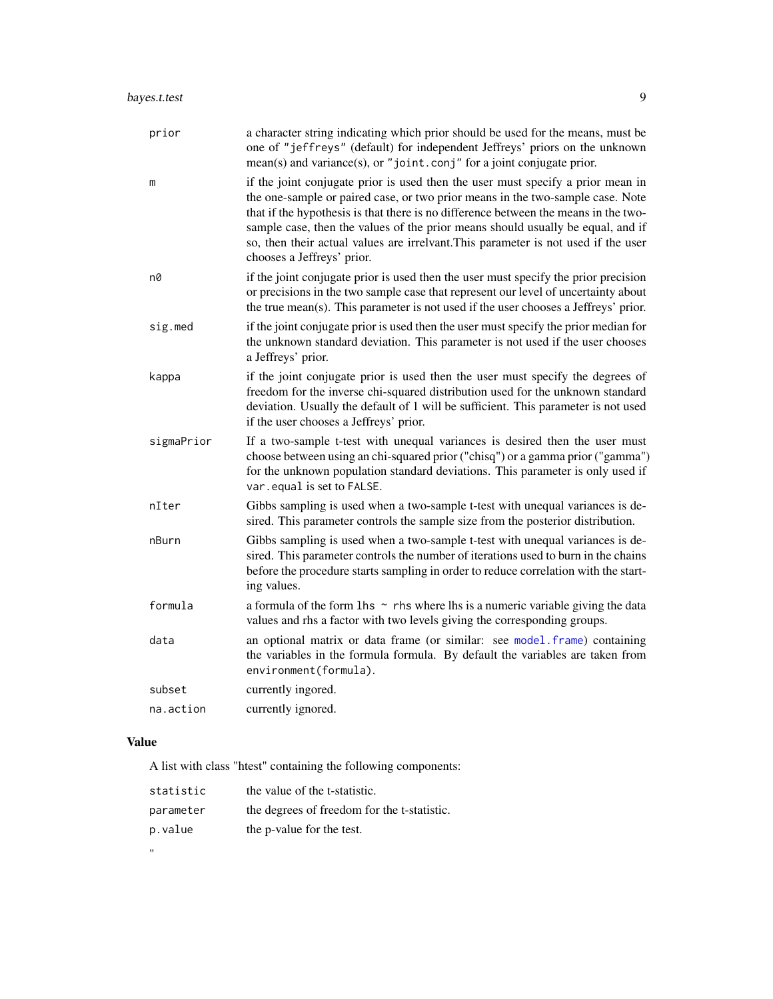<span id="page-8-0"></span>

| prior      | a character string indicating which prior should be used for the means, must be<br>one of "jeffreys" (default) for independent Jeffreys' priors on the unknown<br>$mean(s)$ and variance(s), or "joint.conj" for a joint conjugate prior.                                                                                                                                                                                                                       |
|------------|-----------------------------------------------------------------------------------------------------------------------------------------------------------------------------------------------------------------------------------------------------------------------------------------------------------------------------------------------------------------------------------------------------------------------------------------------------------------|
| m          | if the joint conjugate prior is used then the user must specify a prior mean in<br>the one-sample or paired case, or two prior means in the two-sample case. Note<br>that if the hypothesis is that there is no difference between the means in the two-<br>sample case, then the values of the prior means should usually be equal, and if<br>so, then their actual values are irrelvant. This parameter is not used if the user<br>chooses a Jeffreys' prior. |
| n0         | if the joint conjugate prior is used then the user must specify the prior precision<br>or precisions in the two sample case that represent our level of uncertainty about<br>the true mean(s). This parameter is not used if the user chooses a Jeffreys' prior.                                                                                                                                                                                                |
| sig.med    | if the joint conjugate prior is used then the user must specify the prior median for<br>the unknown standard deviation. This parameter is not used if the user chooses<br>a Jeffreys' prior.                                                                                                                                                                                                                                                                    |
| kappa      | if the joint conjugate prior is used then the user must specify the degrees of<br>freedom for the inverse chi-squared distribution used for the unknown standard<br>deviation. Usually the default of 1 will be sufficient. This parameter is not used<br>if the user chooses a Jeffreys' prior.                                                                                                                                                                |
| sigmaPrior | If a two-sample t-test with unequal variances is desired then the user must<br>choose between using an chi-squared prior ("chisq") or a gamma prior ("gamma")<br>for the unknown population standard deviations. This parameter is only used if<br>var.equal is set to FALSE.                                                                                                                                                                                   |
| nIter      | Gibbs sampling is used when a two-sample t-test with unequal variances is de-<br>sired. This parameter controls the sample size from the posterior distribution.                                                                                                                                                                                                                                                                                                |
| nBurn      | Gibbs sampling is used when a two-sample t-test with unequal variances is de-<br>sired. This parameter controls the number of iterations used to burn in the chains<br>before the procedure starts sampling in order to reduce correlation with the start-<br>ing values.                                                                                                                                                                                       |
| formula    | a formula of the form $\ln s \sim$ rhs where lhs is a numeric variable giving the data<br>values and rhs a factor with two levels giving the corresponding groups.                                                                                                                                                                                                                                                                                              |
| data       | an optional matrix or data frame (or similar: see model.frame) containing<br>the variables in the formula formula. By default the variables are taken from<br>environment(formula).                                                                                                                                                                                                                                                                             |
| subset     | currently ingored.                                                                                                                                                                                                                                                                                                                                                                                                                                              |
| na.action  | currently ignored.                                                                                                                                                                                                                                                                                                                                                                                                                                              |

# Value

A list with class "htest" containing the following components:

| statistic | the value of the t-statistic.               |
|-----------|---------------------------------------------|
| parameter | the degrees of freedom for the t-statistic. |
| p.value   | the p-value for the test.                   |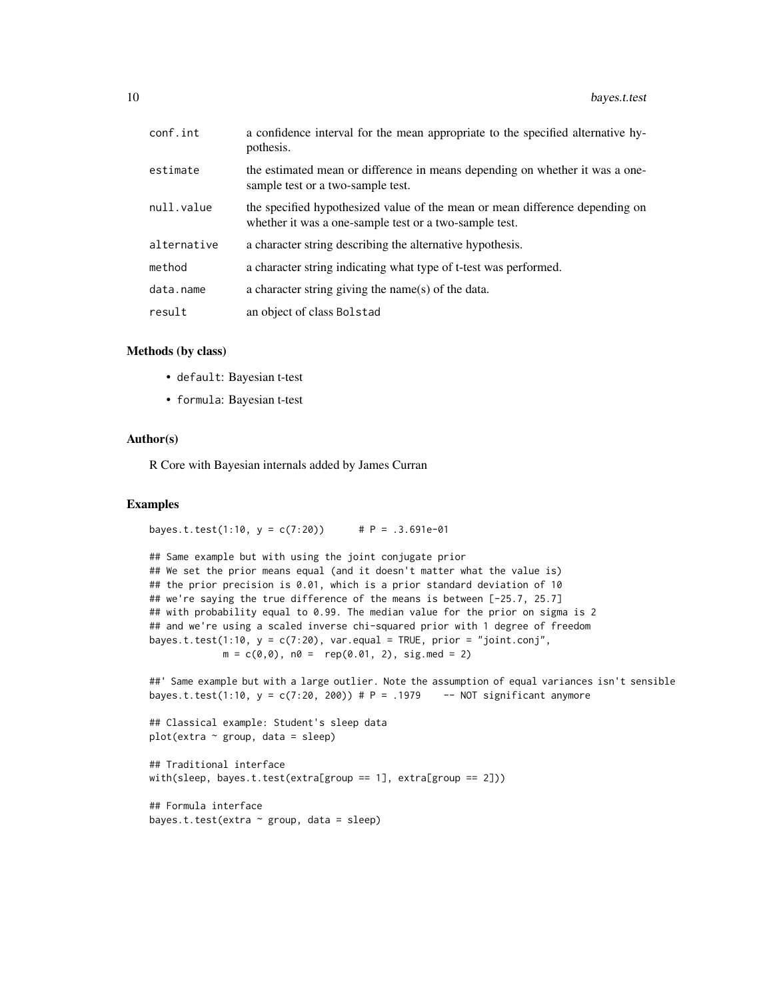| conf.int    | a confidence interval for the mean appropriate to the specified alternative hy-<br>pothesis.                                           |
|-------------|----------------------------------------------------------------------------------------------------------------------------------------|
| estimate    | the estimated mean or difference in means depending on whether it was a one-<br>sample test or a two-sample test.                      |
| null.value  | the specified hypothesized value of the mean or mean difference depending on<br>whether it was a one-sample test or a two-sample test. |
| alternative | a character string describing the alternative hypothesis.                                                                              |
| method      | a character string indicating what type of t-test was performed.                                                                       |
| data.name   | a character string giving the name(s) of the data.                                                                                     |
| result      | an object of class Bolstad                                                                                                             |

#### Methods (by class)

- default: Bayesian t-test
- formula: Bayesian t-test

#### Author(s)

R Core with Bayesian internals added by James Curran

#### Examples

```
bayes.t.test(1:10, y = c(7:20) # P = .3.691e-01
```

```
## Same example but with using the joint conjugate prior
## We set the prior means equal (and it doesn't matter what the value is)
## the prior precision is 0.01, which is a prior standard deviation of 10
## we're saying the true difference of the means is between [-25.7, 25.7]
## with probability equal to 0.99. The median value for the prior on sigma is 2
## and we're using a scaled inverse chi-squared prior with 1 degree of freedom
bayes.t.test(1:10, y = c(7:20), var.equal = TRUE, prior = "joint.conj",
            m = c(0, 0), n0 = rep(0.01, 2), sig.med = 2)
```

```
##' Same example but with a large outlier. Note the assumption of equal variances isn't sensible
bayes.t.test(1:10, y = c(7:20, 200) # P = .1979 -- NOT significant anymore
```

```
## Classical example: Student's sleep data
plot(extra ~ group, data = sleep)
```

```
## Traditional interface
with(sleep, bayes.t.test(extra[group == 1], extra[group == 2]))
```

```
## Formula interface
bayes.t.test(extra \sim group, data = sleep)
```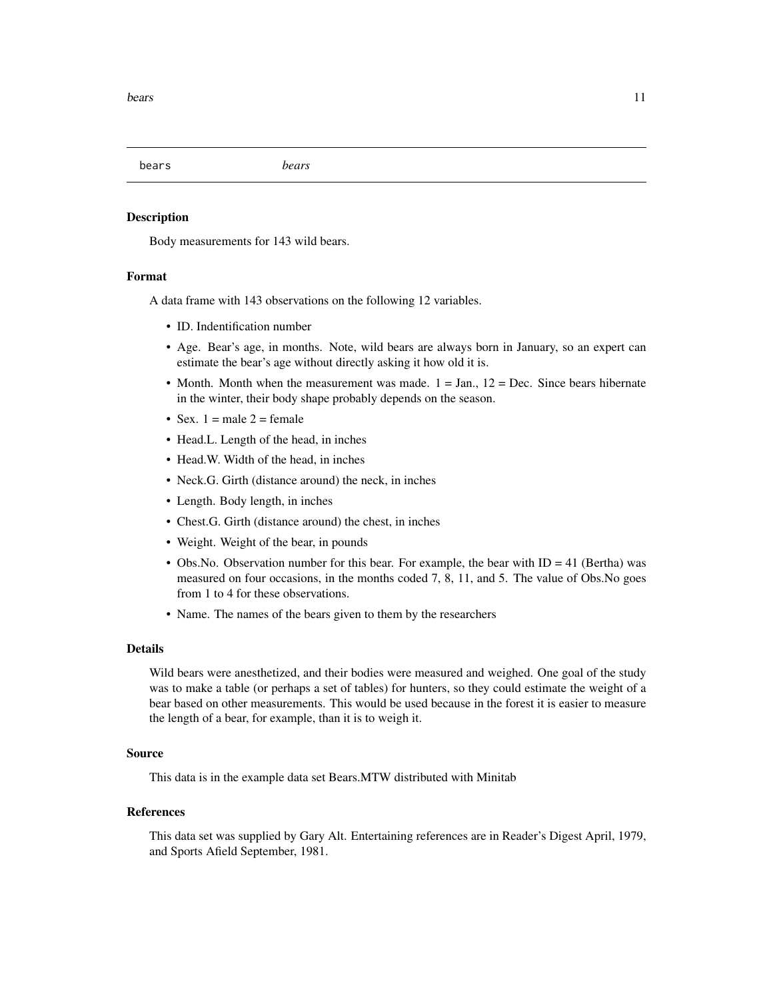<span id="page-10-0"></span>bears *bears*

#### Description

Body measurements for 143 wild bears.

#### Format

A data frame with 143 observations on the following 12 variables.

- ID. Indentification number
- Age. Bear's age, in months. Note, wild bears are always born in January, so an expert can estimate the bear's age without directly asking it how old it is.
- Month. Month when the measurement was made.  $1 = Jan_1$ ,  $12 = Dec$ . Since bears hibernate in the winter, their body shape probably depends on the season.
- Sex.  $1 =$  male  $2 =$  female
- Head.L. Length of the head, in inches
- Head.W. Width of the head, in inches
- Neck.G. Girth (distance around) the neck, in inches
- Length. Body length, in inches
- Chest.G. Girth (distance around) the chest, in inches
- Weight. Weight of the bear, in pounds
- Obs. No. Observation number for this bear. For example, the bear with  $ID = 41$  (Bertha) was measured on four occasions, in the months coded 7, 8, 11, and 5. The value of Obs.No goes from 1 to 4 for these observations.
- Name. The names of the bears given to them by the researchers

#### Details

Wild bears were anesthetized, and their bodies were measured and weighed. One goal of the study was to make a table (or perhaps a set of tables) for hunters, so they could estimate the weight of a bear based on other measurements. This would be used because in the forest it is easier to measure the length of a bear, for example, than it is to weigh it.

#### Source

This data is in the example data set Bears.MTW distributed with Minitab

#### References

This data set was supplied by Gary Alt. Entertaining references are in Reader's Digest April, 1979, and Sports Afield September, 1981.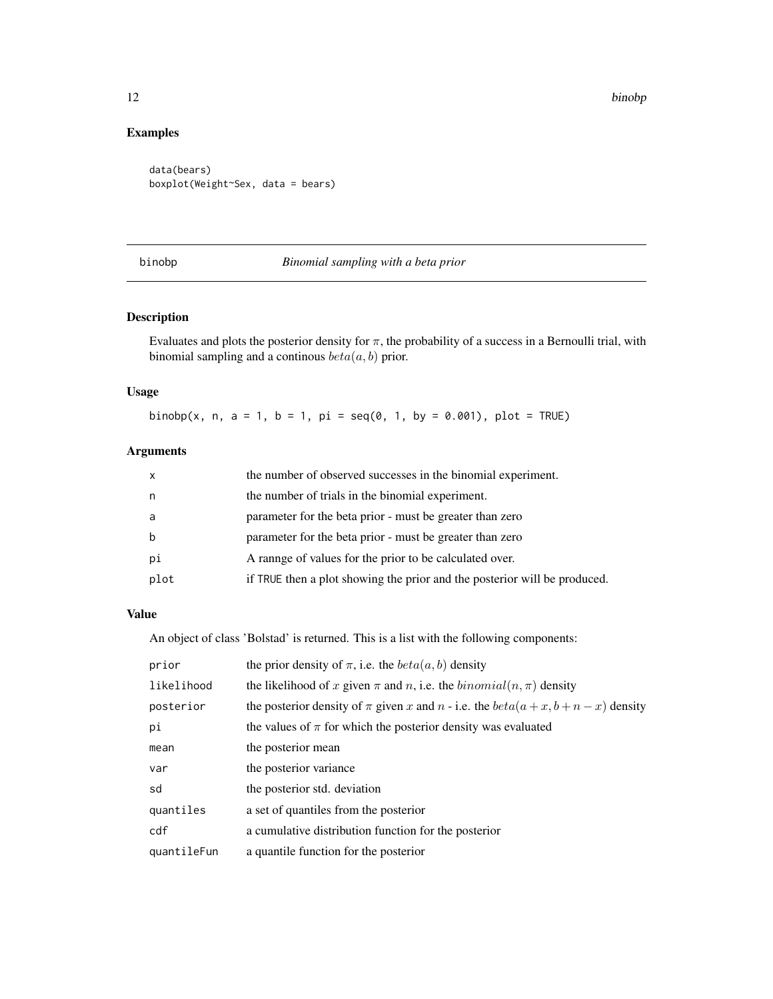# Examples

```
data(bears)
boxplot(Weight~Sex, data = bears)
```
<span id="page-11-1"></span>

#### binobp *Binomial sampling with a beta prior*

# Description

Evaluates and plots the posterior density for  $\pi$ , the probability of a success in a Bernoulli trial, with binomial sampling and a continous  $beta(a, b)$  prior.

# Usage

binobp(x, n, a = 1, b = 1, pi = seq(0, 1, by = 0.001), plot = TRUE)

# Arguments

| $\mathsf{x}$ | the number of observed successes in the binomial experiment.              |
|--------------|---------------------------------------------------------------------------|
| n            | the number of trials in the binomial experiment.                          |
| a            | parameter for the beta prior - must be greater than zero                  |
| b            | parameter for the beta prior - must be greater than zero                  |
| рi           | A rannge of values for the prior to be calculated over.                   |
| plot         | if TRUE then a plot showing the prior and the posterior will be produced. |

#### Value

An object of class 'Bolstad' is returned. This is a list with the following components:

| prior       | the prior density of $\pi$ , i.e. the $beta(a, b)$ density                         |
|-------------|------------------------------------------------------------------------------------|
| likelihood  | the likelihood of x given $\pi$ and n, i.e. the $binomial(n, \pi)$ density         |
| posterior   | the posterior density of $\pi$ given x and n - i.e. the $beta(a+x, b+n-x)$ density |
| рi          | the values of $\pi$ for which the posterior density was evaluated                  |
| mean        | the posterior mean                                                                 |
| var         | the posterior variance                                                             |
| sd          | the posterior std. deviation                                                       |
| quantiles   | a set of quantiles from the posterior                                              |
| cdf         | a cumulative distribution function for the posterior                               |
| quantileFun | a quantile function for the posterior                                              |

<span id="page-11-0"></span>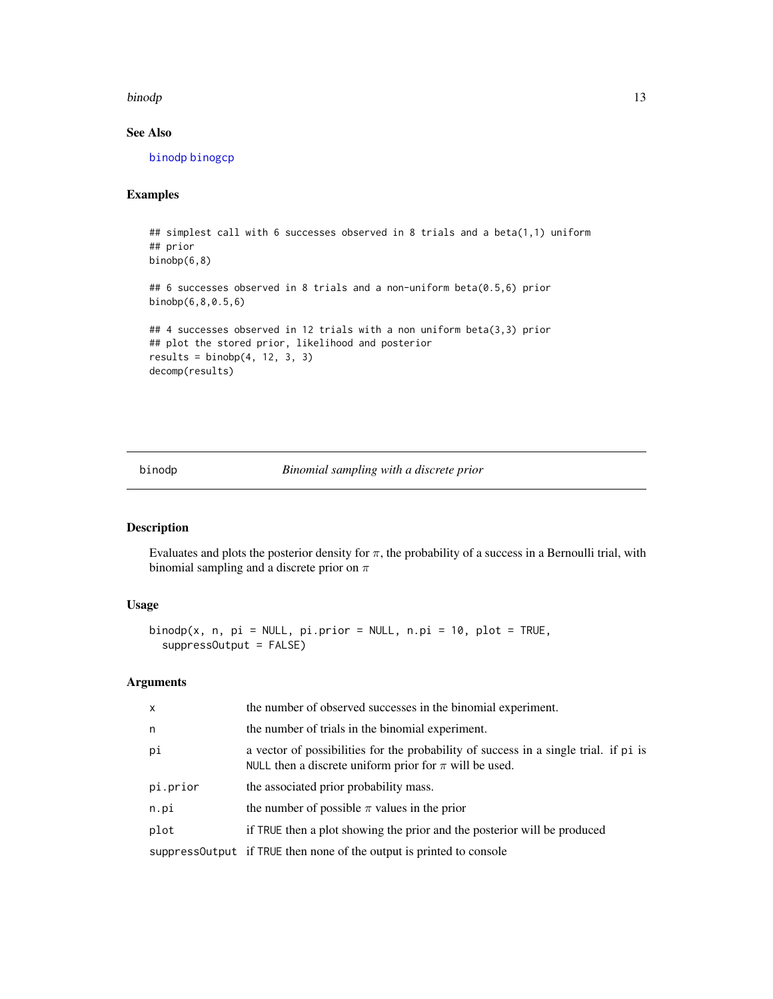#### <span id="page-12-0"></span>binodp and the state of the state of the state of the state of the state of the state of the state of the state of the state of the state of the state of the state of the state of the state of the state of the state of the

# See Also

[binodp](#page-12-1) [binogcp](#page-14-1)

# Examples

```
## simplest call with 6 successes observed in 8 trials and a beta(1,1) uniform
## prior
binobp(6,8)
## 6 successes observed in 8 trials and a non-uniform beta(0.5,6) prior
binobp(6,8,0.5,6)
## 4 successes observed in 12 trials with a non uniform beta(3,3) prior
## plot the stored prior, likelihood and posterior
results = binobp(4, 12, 3, 3)decomp(results)
```
<span id="page-12-1"></span>binodp *Binomial sampling with a discrete prior*

# Description

Evaluates and plots the posterior density for  $\pi$ , the probability of a success in a Bernoulli trial, with binomial sampling and a discrete prior on  $\pi$ 

#### Usage

```
binodp(x, n, pi = NULL, pi.printor = NULL, n.pi = 10, plot = TRUE,suppressOutput = FALSE)
```

| X        | the number of observed successes in the binomial experiment.                                                                                       |
|----------|----------------------------------------------------------------------------------------------------------------------------------------------------|
| n        | the number of trials in the binomial experiment.                                                                                                   |
| рi       | a vector of possibilities for the probability of success in a single trial. if pi is<br>NULL then a discrete uniform prior for $\pi$ will be used. |
| pi.prior | the associated prior probability mass.                                                                                                             |
| n.pi     | the number of possible $\pi$ values in the prior                                                                                                   |
| plot     | if TRUE then a plot showing the prior and the posterior will be produced                                                                           |
|          | suppressOutput if TRUE then none of the output is printed to console                                                                               |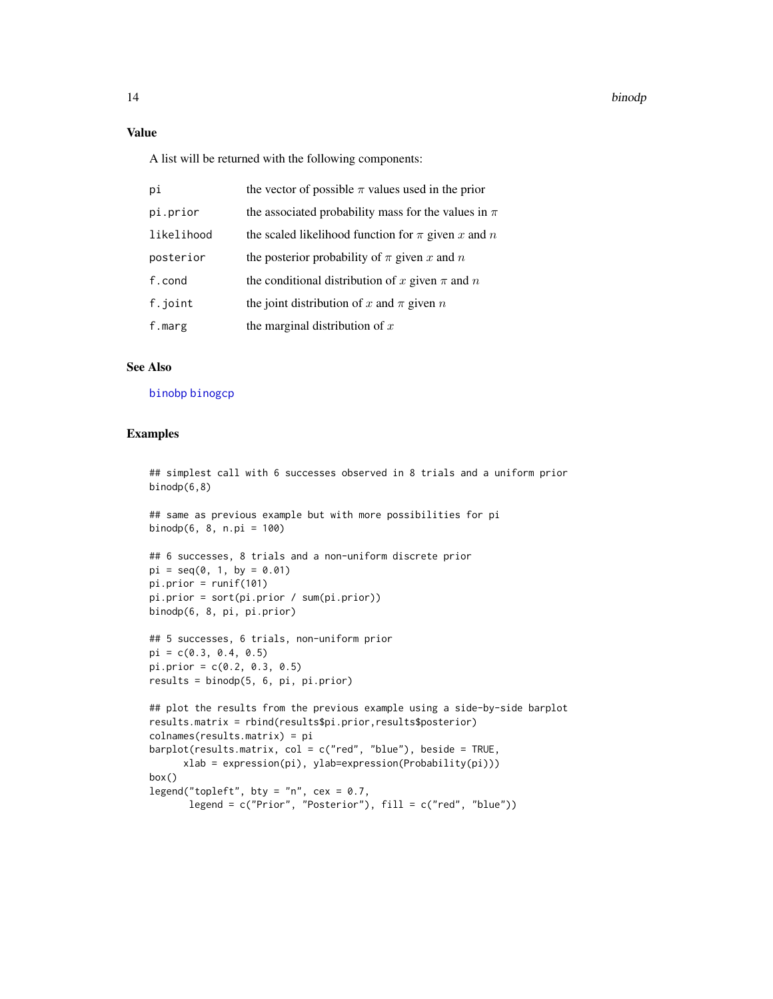# <span id="page-13-0"></span>Value

A list will be returned with the following components:

| pi         | the vector of possible $\pi$ values used in the prior   |
|------------|---------------------------------------------------------|
| pi.prior   | the associated probability mass for the values in $\pi$ |
| likelihood | the scaled likelihood function for $\pi$ given x and n  |
| posterior  | the posterior probability of $\pi$ given x and n        |
| f.cond     | the conditional distribution of x given $\pi$ and n     |
| f.joint    | the joint distribution of x and $\pi$ given n           |
| f.marg     | the marginal distribution of $x$                        |

# See Also

[binobp](#page-11-1) [binogcp](#page-14-1)

#### Examples

## simplest call with 6 successes observed in 8 trials and a uniform prior binodp(6,8)

```
## same as previous example but with more possibilities for pi
binodp(6, 8, n.pi = 100)
```

```
## 6 successes, 8 trials and a non-uniform discrete prior
pi = seq(0, 1, by = 0.01)pi.prior = runif(101)
pi.prior = sort(pi.prior / sum(pi.prior))
binodp(6, 8, pi, pi.prior)
```

```
## 5 successes, 6 trials, non-uniform prior
pi = c(0.3, 0.4, 0.5)pi.prior = c(0.2, 0.3, 0.5)
results = binodp(5, 6, pi, pi.prior)
```

```
## plot the results from the previous example using a side-by-side barplot
results.matrix = rbind(results$pi.prior,results$posterior)
colnames(results.matrix) = pi
barplot(results.matrix, col = c("red", "blue"), beside = TRUE,
      xlab = expression(pi), ylab=expression(Probability(pi)))
box()
legend("topleft", bty = "n", cex = 0.7,
```

```
legend = c("Prior", "Posterior"), fill = c("red", "blue"))
```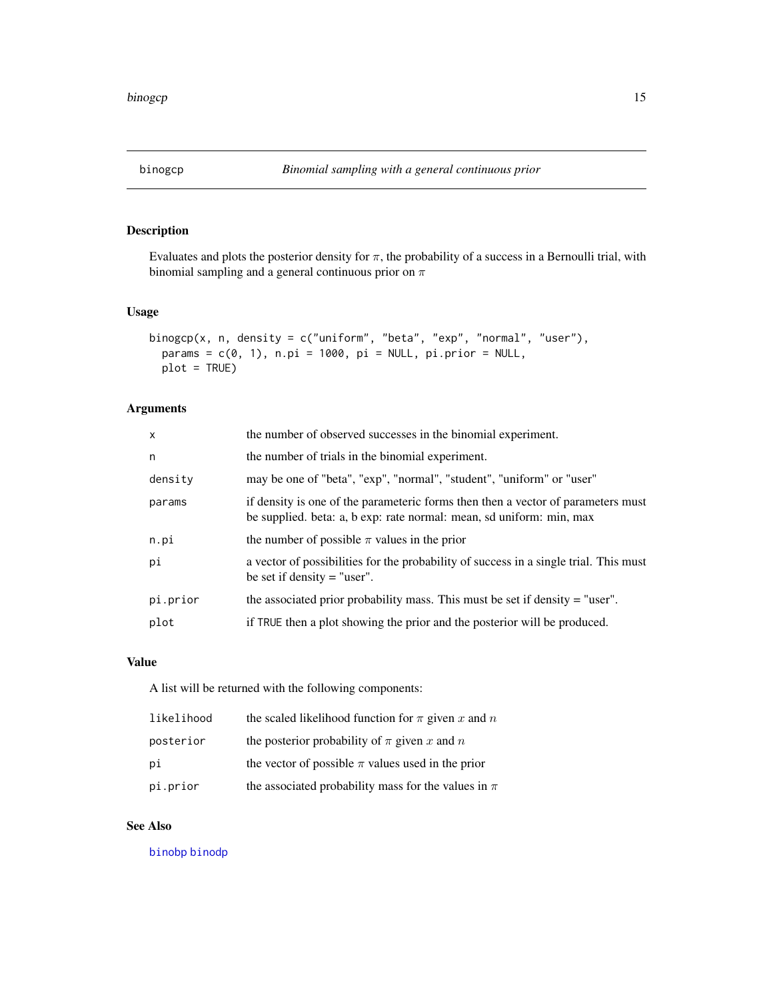<span id="page-14-1"></span><span id="page-14-0"></span>

Evaluates and plots the posterior density for  $\pi$ , the probability of a success in a Bernoulli trial, with binomial sampling and a general continuous prior on  $\pi$ 

# Usage

```
binogcp(x, n, density = c("uniform", "beta", "exp", "normal", "user"),
 params = c(0, 1), n.pi = 1000, pi = NULL, pi.prior = NULL,
 plot = TRUE)
```
# Arguments

| $\mathsf{x}$ | the number of observed successes in the binomial experiment.                                                                                             |
|--------------|----------------------------------------------------------------------------------------------------------------------------------------------------------|
| n            | the number of trials in the binomial experiment.                                                                                                         |
| density      | may be one of "beta", "exp", "normal", "student", "uniform" or "user"                                                                                    |
| params       | if density is one of the parameteric forms then then a vector of parameters must<br>be supplied. beta: a, b exp: rate normal: mean, sd uniform: min, max |
| n.pi         | the number of possible $\pi$ values in the prior                                                                                                         |
| рi           | a vector of possibilities for the probability of success in a single trial. This must<br>be set if density $=$ "user".                                   |
| pi.prior     | the associated prior probability mass. This must be set if density $=$ "user".                                                                           |
| plot         | if TRUE then a plot showing the prior and the posterior will be produced.                                                                                |

# Value

A list will be returned with the following components:

| likelihood | the scaled likelihood function for $\pi$ given x and n  |
|------------|---------------------------------------------------------|
| posterior  | the posterior probability of $\pi$ given x and n        |
| рi         | the vector of possible $\pi$ values used in the prior   |
| pi.prior   | the associated probability mass for the values in $\pi$ |

# See Also

[binobp](#page-11-1) [binodp](#page-12-1)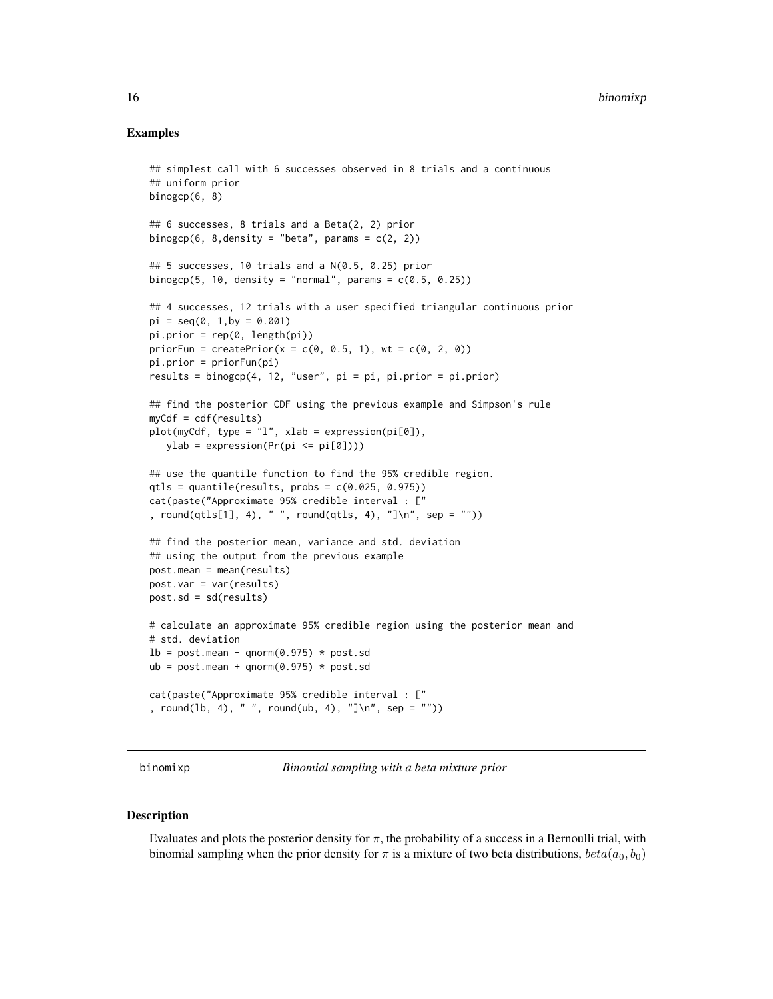#### <span id="page-15-0"></span>Examples

```
## simplest call with 6 successes observed in 8 trials and a continuous
## uniform prior
binogcp(6, 8)
## 6 successes, 8 trials and a Beta(2, 2) prior
binogcp(6, 8,density = "beta", params = c(2, 2))
## 5 successes, 10 trials and a N(0.5, 0.25) prior
binogcp(5, 10, density = "normal", params = c(0.5, 0.25))
## 4 successes, 12 trials with a user specified triangular continuous prior
pi = seq(0, 1, by = 0.001)pi.printor = rep(0, length(pi))priorFun = createPrior(x = c(0, 0.5, 1), wt = c(0, 2, 0))
pi.prior = priorFun(pi)
results = binogcp(4, 12, "user", pi = pi, pi.prior = pi.prior)
## find the posterior CDF using the previous example and Simpson's rule
myCdf = cdf(results)
plot(myCdf, type = "l", xlab = expression(pi[0]),
   ylab = expression(Pr(pi \le pi[0]))## use the quantile function to find the 95% credible region.
qtls = quantile(results, probs = c(0.025, 0.975))
cat(paste("Approximate 95% credible interval : ["
, round(qtls[1], 4), " ", round(qtls, 4), "]\n", sep = ""))
## find the posterior mean, variance and std. deviation
## using the output from the previous example
post.mean = mean(results)
post.var = var(results)
post.sd = sd(results)
# calculate an approximate 95% credible region using the posterior mean and
# std. deviation
lb = post_mean - qnorm(0.975) * post.sdub = postmean + qnorm(0.975) * post.sdcat(paste("Approximate 95% credible interval : ["
, round(lb, 4), " ", round(ub, 4), "]\n", sep = ""))
```
<span id="page-15-1"></span>binomixp *Binomial sampling with a beta mixture prior*

#### **Description**

Evaluates and plots the posterior density for  $\pi$ , the probability of a success in a Bernoulli trial, with binomial sampling when the prior density for  $\pi$  is a mixture of two beta distributions,  $beta(a_0, b_0)$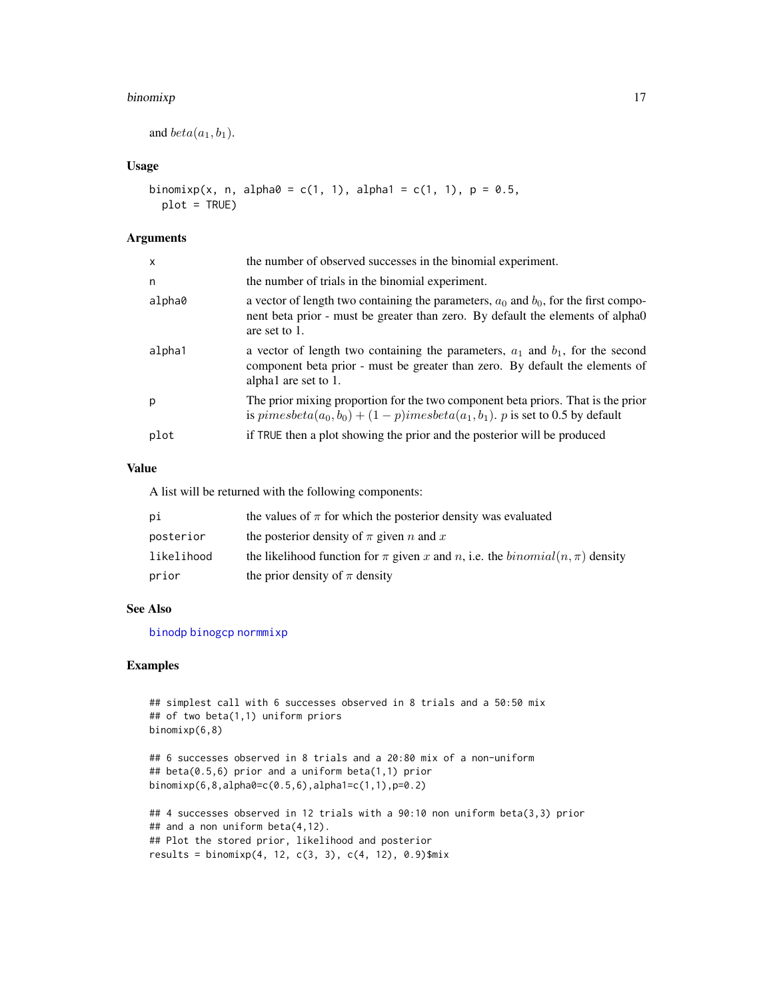#### <span id="page-16-0"></span>binomixp 17

```
and beta(a_1, b_1).
```
# Usage

```
binomixp(x, n, alpha0 = c(1, 1), alpha1 = c(1, 1), p = 0.5,
 plot = TRUE)
```
## Arguments

| $\mathsf{x}$ | the number of observed successes in the binomial experiment.                                                                                                                                |
|--------------|---------------------------------------------------------------------------------------------------------------------------------------------------------------------------------------------|
| n            | the number of trials in the binomial experiment.                                                                                                                                            |
| alpha0       | a vector of length two containing the parameters, $a_0$ and $b_0$ , for the first compo-<br>nent beta prior - must be greater than zero. By default the elements of alpha0<br>are set to 1. |
| alpha1       | a vector of length two containing the parameters, $a_1$ and $b_1$ , for the second<br>component beta prior - must be greater than zero. By default the elements of<br>alpha1 are set to 1.  |
| p            | The prior mixing proportion for the two component beta priors. That is the prior<br>is $pimesbeta(a_0, b_0) + (1 - p)imesbeta(a_1, b_1)$ . p is set to 0.5 by default                       |
| plot         | if TRUE then a plot showing the prior and the posterior will be produced                                                                                                                    |

# Value

A list will be returned with the following components:

| рi         | the values of $\pi$ for which the posterior density was evaluated                    |
|------------|--------------------------------------------------------------------------------------|
| posterior  | the posterior density of $\pi$ given n and x                                         |
| likelihood | the likelihood function for $\pi$ given x and n, i.e. the $binomial(n, \pi)$ density |
| prior      | the prior density of $\pi$ density                                                   |

#### See Also

[binodp](#page-12-1) [binogcp](#page-14-1) [normmixp](#page-27-1)

# Examples

```
## simplest call with 6 successes observed in 8 trials and a 50:50 mix
## of two beta(1,1) uniform priors
binomixp(6,8)
```

```
## 6 successes observed in 8 trials and a 20:80 mix of a non-uniform
## beta(0.5,6) prior and a uniform beta(1,1) prior
binomixp(6,8,alpha0=c(0.5,6),alpha1=c(1,1),p=0.2)
```

```
## 4 successes observed in 12 trials with a 90:10 non uniform beta(3,3) prior
## and a non uniform beta(4,12).
## Plot the stored prior, likelihood and posterior
results = binomixp(4, 12, c(3, 3), c(4, 12), 0.9)$mix
```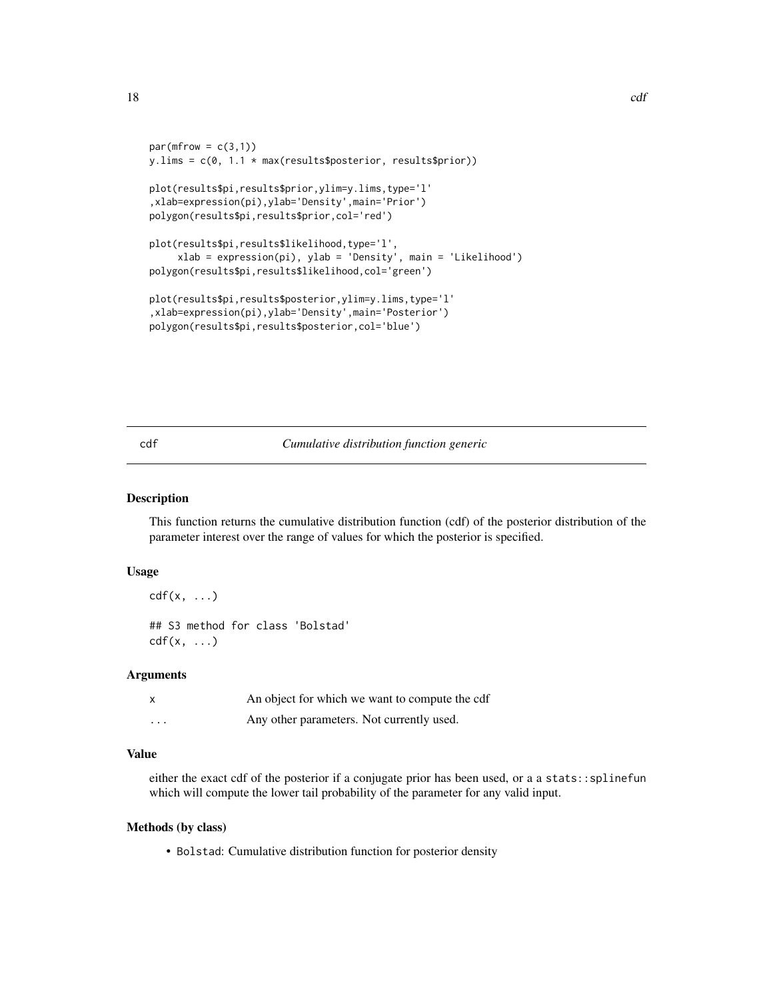```
par(mfrow = c(3,1))y.lims = c(0, 1.1 * max(results$posterior, results$prior))
plot(results$pi,results$prior,ylim=y.lims,type='l'
,xlab=expression(pi),ylab='Density',main='Prior')
polygon(results$pi,results$prior,col='red')
plot(results$pi,results$likelihood,type='l',
     xlab = expression(pi), ylab = 'Density', main = 'Likelihood')
polygon(results$pi,results$likelihood,col='green')
plot(results$pi,results$posterior,ylim=y.lims,type='l'
,xlab=expression(pi),ylab='Density',main='Posterior')
polygon(results$pi,results$posterior,col='blue')
```
cdf *Cumulative distribution function generic*

#### Description

This function returns the cumulative distribution function (cdf) of the posterior distribution of the parameter interest over the range of values for which the posterior is specified.

# Usage

```
cdf(x, \ldots)## S3 method for class 'Bolstad'
cdf(x, \ldots)
```
#### Arguments

|         | An object for which we want to compute the cdf |
|---------|------------------------------------------------|
| $\cdot$ | Any other parameters. Not currently used.      |

# Value

either the exact cdf of the posterior if a conjugate prior has been used, or a a stats::splinefun which will compute the lower tail probability of the parameter for any valid input.

#### Methods (by class)

• Bolstad: Cumulative distribution function for posterior density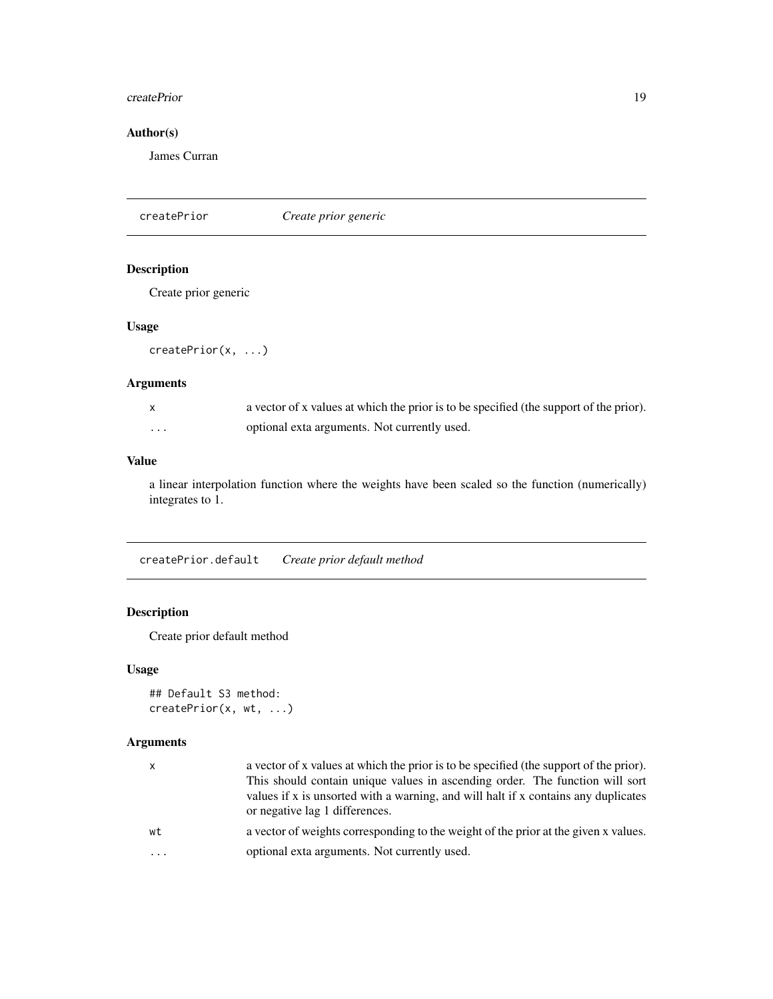#### <span id="page-18-0"></span>createPrior 19

# Author(s)

James Curran

createPrior *Create prior generic*

# Description

Create prior generic

# Usage

```
createPrior(x, ...)
```
# Arguments

|   | a vector of x values at which the prior is to be specified (the support of the prior). |
|---|----------------------------------------------------------------------------------------|
| . | optional exta arguments. Not currently used.                                           |

# Value

a linear interpolation function where the weights have been scaled so the function (numerically) integrates to 1.

createPrior.default *Create prior default method*

# Description

Create prior default method

# Usage

```
## Default S3 method:
createPrior(x, wt, ...)
```

| x        | a vector of x values at which the prior is to be specified (the support of the prior).<br>This should contain unique values in ascending order. The function will sort<br>values if x is unsorted with a warning, and will halt if x contains any duplicates<br>or negative lag 1 differences. |
|----------|------------------------------------------------------------------------------------------------------------------------------------------------------------------------------------------------------------------------------------------------------------------------------------------------|
| wt       | a vector of weights corresponding to the weight of the prior at the given x values.                                                                                                                                                                                                            |
| $\ddots$ | optional exta arguments. Not currently used.                                                                                                                                                                                                                                                   |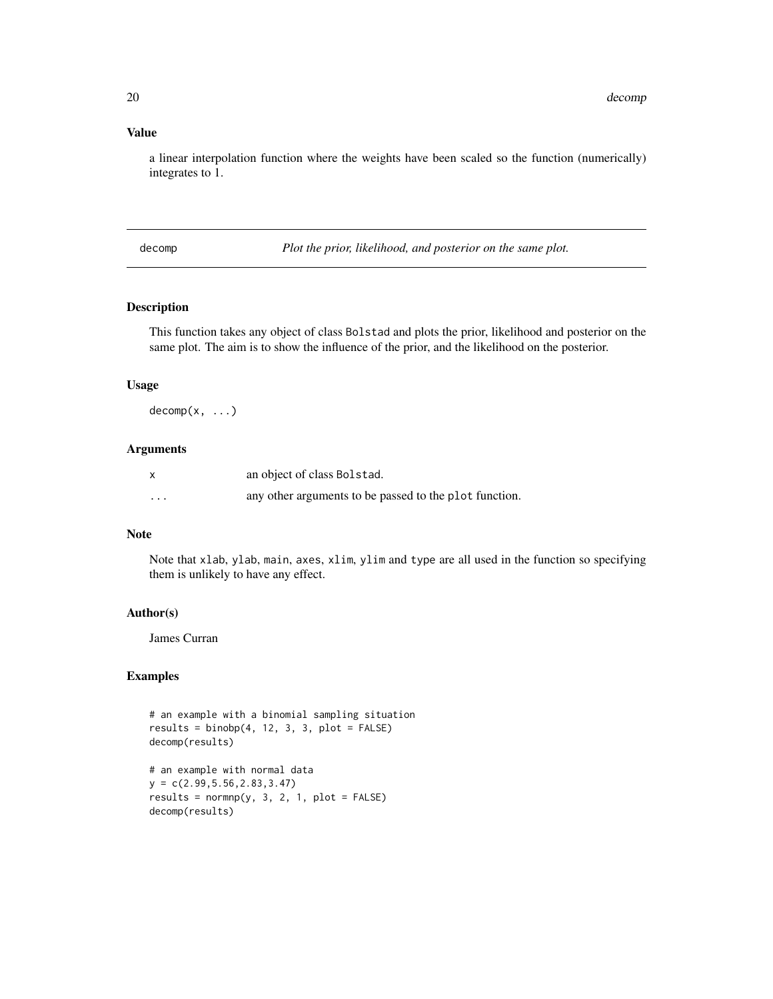#### Value

a linear interpolation function where the weights have been scaled so the function (numerically) integrates to 1.

decomp *Plot the prior, likelihood, and posterior on the same plot.*

# Description

This function takes any object of class Bolstad and plots the prior, likelihood and posterior on the same plot. The aim is to show the influence of the prior, and the likelihood on the posterior.

#### Usage

 $decomp(x, \ldots)$ 

#### Arguments

|         | an object of class Bolstad.                            |
|---------|--------------------------------------------------------|
| $\cdot$ | any other arguments to be passed to the plot function. |

#### Note

Note that xlab, ylab, main, axes, xlim, ylim and type are all used in the function so specifying them is unlikely to have any effect.

#### Author(s)

James Curran

#### Examples

# an example with a binomial sampling situation  $results = binobj(4, 12, 3, 3, plot = FALSE)$ decomp(results)

# an example with normal data y = c(2.99,5.56,2.83,3.47)  $results = normmp(y, 3, 2, 1, plot = FALSE)$ decomp(results)

<span id="page-19-0"></span>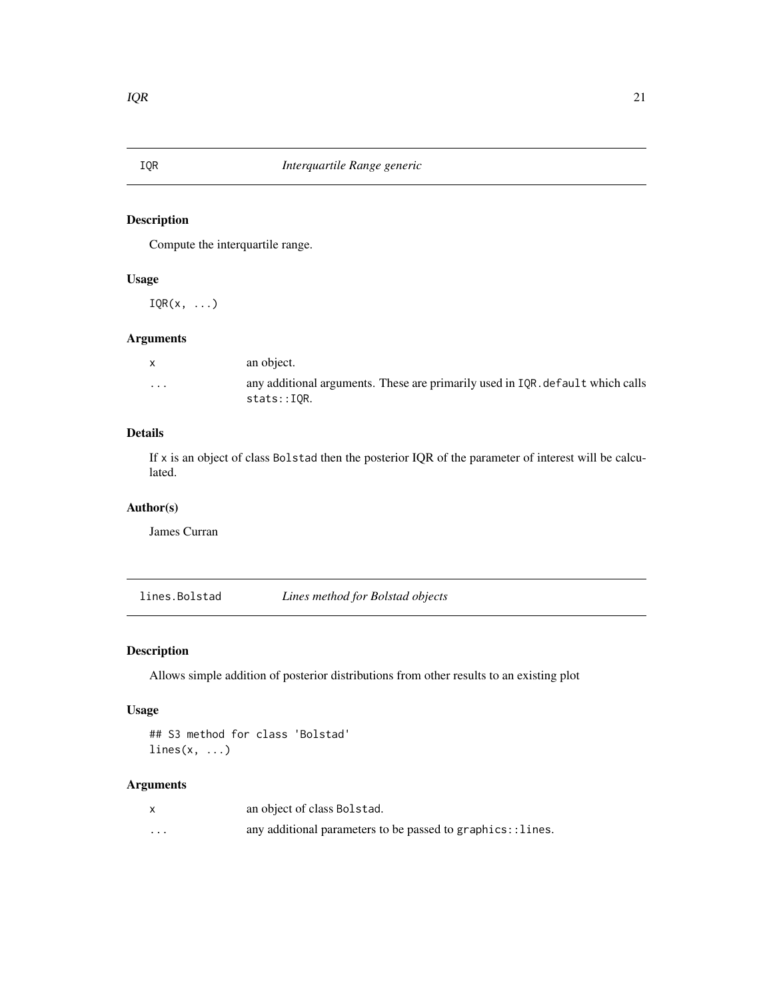<span id="page-20-0"></span>

Compute the interquartile range.

# Usage

 $IQR(x, \ldots)$ 

# Arguments

| $\mathsf{X}$ | an object.                                                                                    |
|--------------|-----------------------------------------------------------------------------------------------|
| $\cdots$     | any additional arguments. These are primarily used in IQR, default which calls<br>stats::IOR. |

# Details

If x is an object of class Bolstad then the posterior IQR of the parameter of interest will be calculated.

# Author(s)

James Curran

lines.Bolstad *Lines method for Bolstad objects*

# Description

Allows simple addition of posterior distributions from other results to an existing plot

# Usage

## S3 method for class 'Bolstad'  $lines(x, \ldots)$ 

|          | an object of class Bolstad.                                |
|----------|------------------------------------------------------------|
| $\cdots$ | any additional parameters to be passed to graphics::lines. |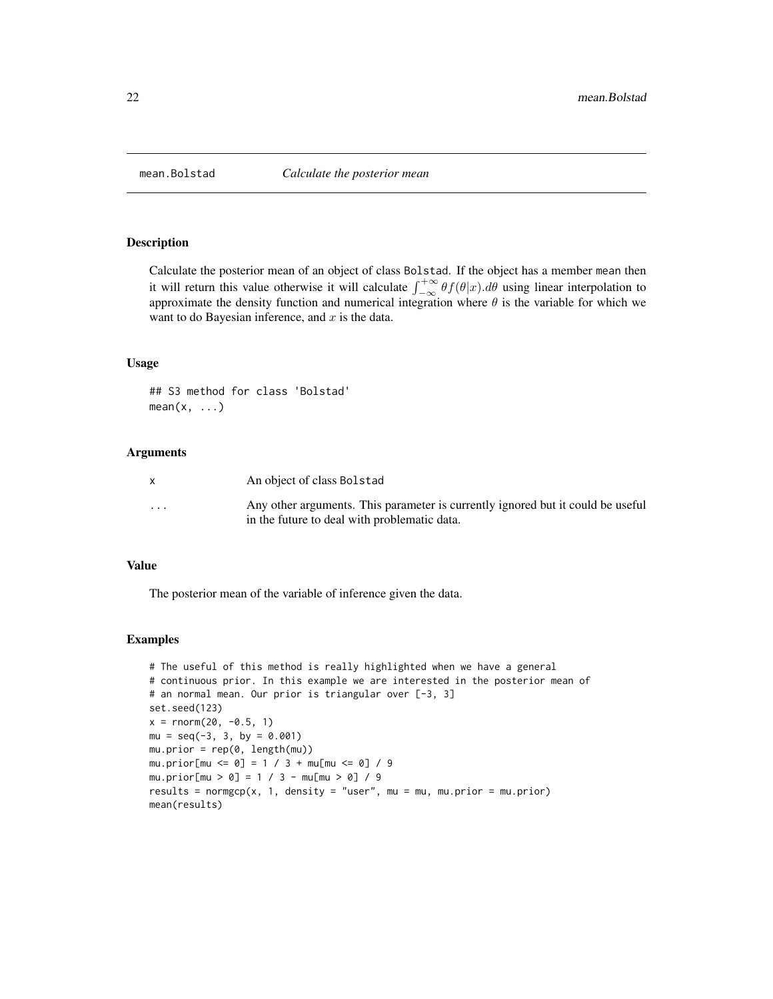<span id="page-21-0"></span>

Calculate the posterior mean of an object of class Bolstad. If the object has a member mean then it will return this value otherwise it will calculate  $\int_{-\infty}^{+\infty} \theta f(\theta|x) d\theta$  using linear interpolation to approximate the density function and numerical integration where  $\theta$  is the variable for which we want to do Bayesian inference, and  $x$  is the data.

#### Usage

## S3 method for class 'Bolstad'  $mean(x, \ldots)$ 

#### **Arguments**

|                         | An object of class Bolstad                                                                                                       |
|-------------------------|----------------------------------------------------------------------------------------------------------------------------------|
| $\cdot$ $\cdot$ $\cdot$ | Any other arguments. This parameter is currently ignored but it could be useful.<br>in the future to deal with problematic data. |

#### Value

The posterior mean of the variable of inference given the data.

#### Examples

```
# The useful of this method is really highlighted when we have a general
# continuous prior. In this example we are interested in the posterior mean of
# an normal mean. Our prior is triangular over [-3, 3]
set.seed(123)
x = \text{rnorm}(20, -0.5, 1)mu = seq(-3, 3, by = 0.001)mu.prior = rep(0, length(mu))
mu.prior[mu <= 0] = 1 / 3 + mu[mu <= 0] / 9
mu.prior[mu > 0] = 1 / 3 - mu[mu > 0] / 9
results = normgcp(x, 1, density = "user", mu = mu, mu.prior = mu.prior)
mean(results)
```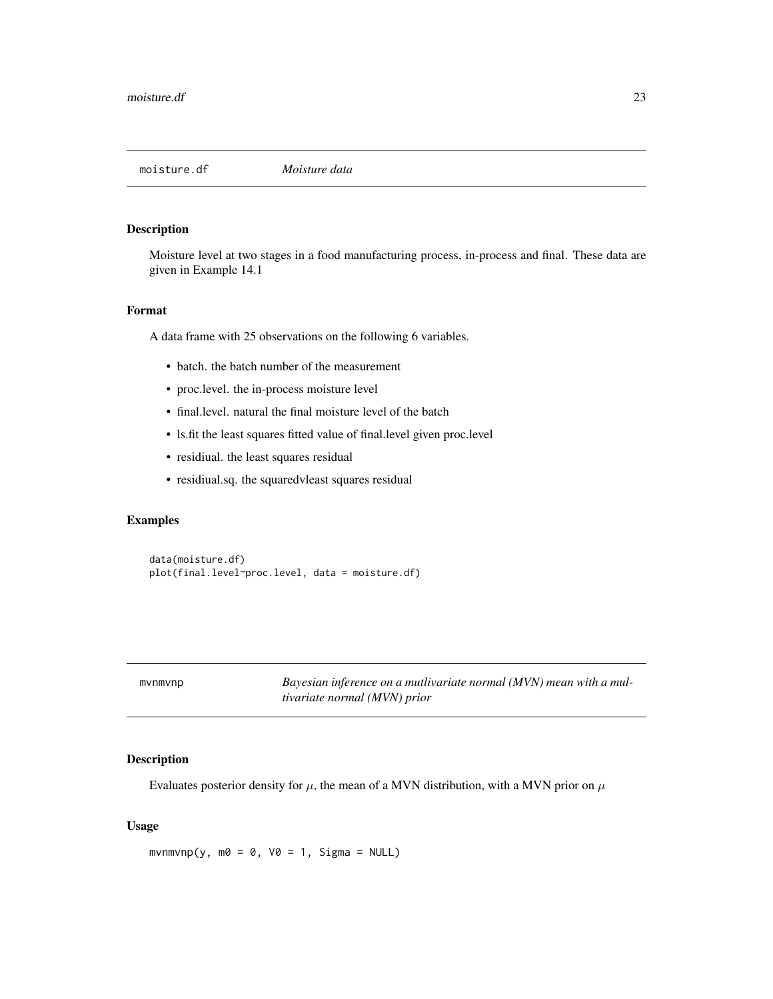<span id="page-22-0"></span>

Moisture level at two stages in a food manufacturing process, in-process and final. These data are given in Example 14.1

#### Format

A data frame with 25 observations on the following 6 variables.

- batch. the batch number of the measurement
- proc.level. the in-process moisture level
- final.level. natural the final moisture level of the batch
- ls.fit the least squares fitted value of final.level given proc.level
- residiual. the least squares residual
- residiual.sq. the squaredvleast squares residual

# Examples

data(moisture.df) plot(final.level~proc.level, data = moisture.df)

Bayesian inference on a mutlivariate normal (MVN) mean with a mul*tivariate normal (MVN) prior*

# Description

Evaluates posterior density for  $\mu$ , the mean of a MVN distribution, with a MVN prior on  $\mu$ 

# Usage

 $m\nu n m\nu n p(y, m0 = 0, V0 = 1, Signa = NULL)$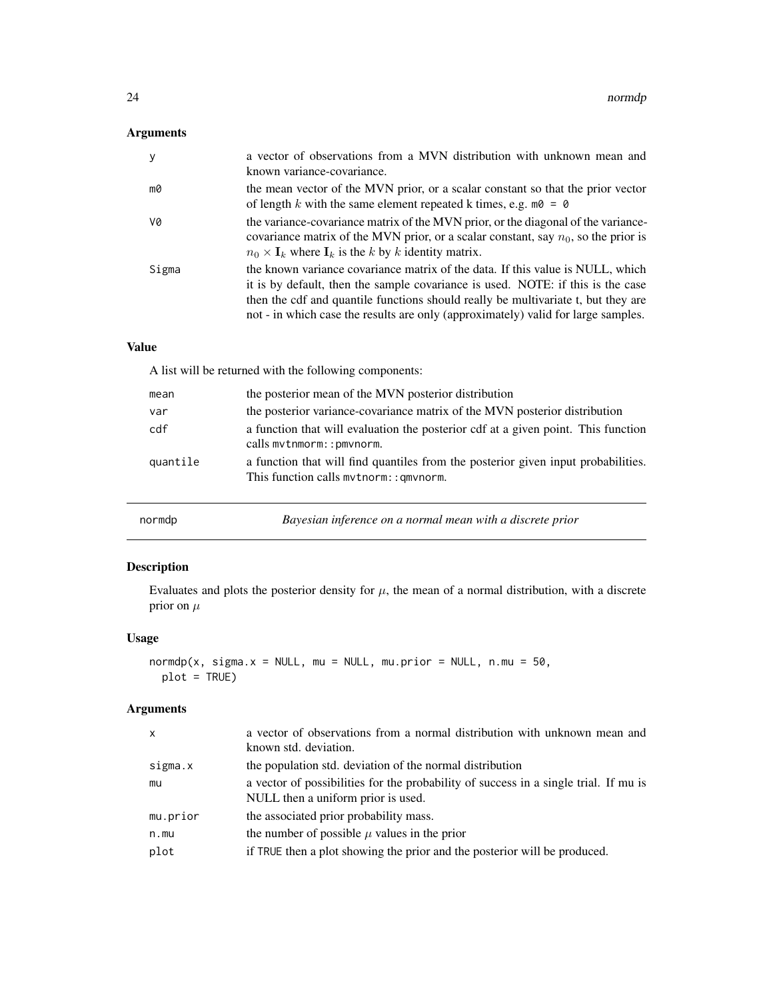# <span id="page-23-0"></span>Arguments

| $\mathbf{y}$ | a vector of observations from a MVN distribution with unknown mean and<br>known variance-covariance.                                                                                                                                                                                                                                        |
|--------------|---------------------------------------------------------------------------------------------------------------------------------------------------------------------------------------------------------------------------------------------------------------------------------------------------------------------------------------------|
| mØ           | the mean vector of the MVN prior, or a scalar constant so that the prior vector<br>of length k with the same element repeated k times, e.g. $m\delta = \delta$                                                                                                                                                                              |
| V0           | the variance-covariance matrix of the MVN prior, or the diagonal of the variance-<br>covariance matrix of the MVN prior, or a scalar constant, say $n_0$ , so the prior is<br>$n_0 \times I_k$ where $I_k$ is the k by k identity matrix.                                                                                                   |
| Sigma        | the known variance covariance matrix of the data. If this value is NULL, which<br>it is by default, then the sample covariance is used. NOTE: if this is the case<br>then the cdf and quantile functions should really be multivariate t, but they are<br>not - in which case the results are only (approximately) valid for large samples. |

# Value

A list will be returned with the following components:

| mean     | the posterior mean of the MVN posterior distribution                                                                        |
|----------|-----------------------------------------------------------------------------------------------------------------------------|
| var      | the posterior variance-covariance matrix of the MVN posterior distribution                                                  |
| cdf      | a function that will evaluation the posterior cdf at a given point. This function<br>calls mythmorm:: pmynorm.              |
| quantile | a function that will find quantiles from the posterior given input probabilities.<br>This function calls mythorm:: gmynorm. |

<span id="page-23-1"></span>

| normdp | Bayesian inference on a normal mean with a discrete prior |
|--------|-----------------------------------------------------------|
|--------|-----------------------------------------------------------|

# Description

Evaluates and plots the posterior density for  $\mu$ , the mean of a normal distribution, with a discrete prior on  $\mu$ 

# Usage

```
normalp(x, sigma.x = NULL, mu = NULL, mu.printor = NULL, n.mu = 50,plot = TRUE)
```

| $\mathsf{x}$ | a vector of observations from a normal distribution with unknown mean and<br>known std. deviation.                         |
|--------------|----------------------------------------------------------------------------------------------------------------------------|
| sigma.x      | the population std. deviation of the normal distribution                                                                   |
| mu           | a vector of possibilities for the probability of success in a single trial. If mu is<br>NULL then a uniform prior is used. |
| mu.prior     | the associated prior probability mass.                                                                                     |
| n.mu         | the number of possible $\mu$ values in the prior                                                                           |
| plot         | if TRUE then a plot showing the prior and the posterior will be produced.                                                  |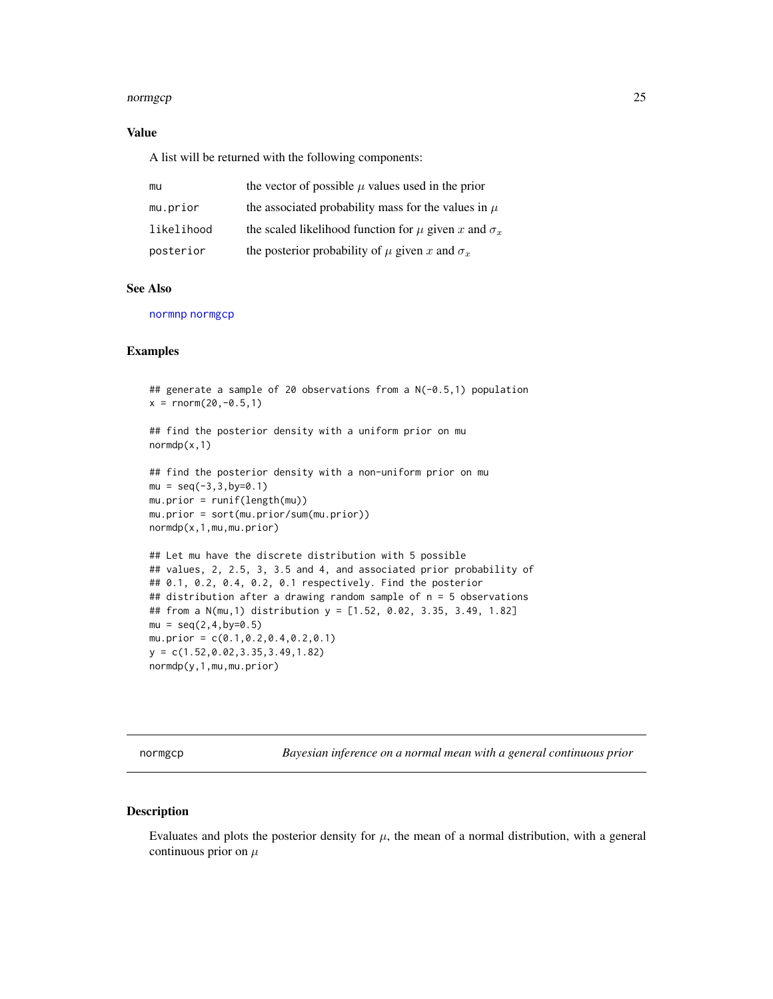#### <span id="page-24-0"></span>normgcp 25

#### Value

A list will be returned with the following components:

| mu         | the vector of possible $\mu$ values used in the prior           |
|------------|-----------------------------------------------------------------|
| mu.prior   | the associated probability mass for the values in $\mu$         |
| likelihood | the scaled likelihood function for $\mu$ given x and $\sigma_x$ |
| posterior  | the posterior probability of $\mu$ given x and $\sigma_x$       |

#### See Also

[normnp](#page-28-1) [normgcp](#page-24-1)

#### Examples

```
## generate a sample of 20 observations from a N(-0.5,1) population
x = \text{norm}(20, -0.5, 1)## find the posterior density with a uniform prior on mu
normdp(x,1)
## find the posterior density with a non-uniform prior on mu
mu = seq(-3, 3, by=0.1)mu.prior = runif(length(mu))
mu.prior = sort(mu.prior/sum(mu.prior))
normdp(x,1,mu,mu.prior)
## Let mu have the discrete distribution with 5 possible
## values, 2, 2.5, 3, 3.5 and 4, and associated prior probability of
## 0.1, 0.2, 0.4, 0.2, 0.1 respectively. Find the posterior
## distribution after a drawing random sample of n = 5 observations
## from a N(mu,1) distribution y = [1.52, 0.02, 3.35, 3.49, 1.82]
mu = seq(2, 4, by=0.5)mu.prior = c(0.1,0.2,0.4,0.2,0.1)
y = c(1.52,0.02,3.35,3.49,1.82)
normdp(y,1,mu,mu.prior)
```
<span id="page-24-1"></span>normgcp *Bayesian inference on a normal mean with a general continuous prior*

# Description

Evaluates and plots the posterior density for  $\mu$ , the mean of a normal distribution, with a general continuous prior on  $\mu$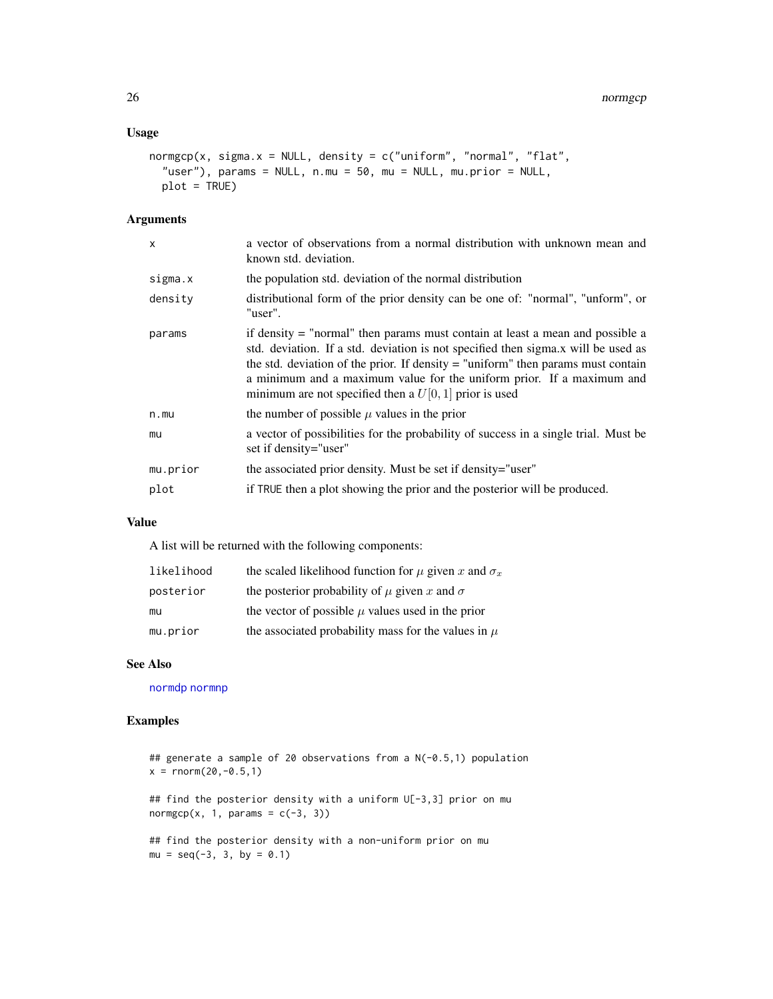#### <span id="page-25-0"></span>Usage

```
normgcp(x, sigma.x = NULL, density = c("uniform", "normal", "flat","user"), params = NULL, n.mu = 50, mu = NULL, mu.prior = NULL,
 plot = TRUE)
```
#### Arguments

| X        | a vector of observations from a normal distribution with unknown mean and<br>known std. deviation.                                                                                                                                                                                                                                                                                            |
|----------|-----------------------------------------------------------------------------------------------------------------------------------------------------------------------------------------------------------------------------------------------------------------------------------------------------------------------------------------------------------------------------------------------|
| sigma.x  | the population std. deviation of the normal distribution                                                                                                                                                                                                                                                                                                                                      |
| density  | distributional form of the prior density can be one of: "normal", "unform", or<br>"user".                                                                                                                                                                                                                                                                                                     |
| params   | if density = "normal" then params must contain at least a mean and possible a<br>std. deviation. If a std. deviation is not specified then sigma.x will be used as<br>the std. deviation of the prior. If density $=$ "uniform" then params must contain<br>a minimum and a maximum value for the uniform prior. If a maximum and<br>minimum are not specified then a $U[0, 1]$ prior is used |
| n.mu     | the number of possible $\mu$ values in the prior                                                                                                                                                                                                                                                                                                                                              |
| mu       | a vector of possibilities for the probability of success in a single trial. Must be<br>set if density="user"                                                                                                                                                                                                                                                                                  |
| mu.prior | the associated prior density. Must be set if density="user"                                                                                                                                                                                                                                                                                                                                   |
| plot     | if TRUE then a plot showing the prior and the posterior will be produced.                                                                                                                                                                                                                                                                                                                     |
|          |                                                                                                                                                                                                                                                                                                                                                                                               |

# Value

A list will be returned with the following components:

| likelihood | the scaled likelihood function for $\mu$ given x and $\sigma_x$ |
|------------|-----------------------------------------------------------------|
| posterior  | the posterior probability of $\mu$ given x and $\sigma$         |
| mu         | the vector of possible $\mu$ values used in the prior           |
| mu.prior   | the associated probability mass for the values in $\mu$         |

# See Also

[normdp](#page-23-1) [normnp](#page-28-1)

# Examples

## generate a sample of 20 observations from a N(-0.5,1) population  $x = \text{rnorm}(20, -0.5, 1)$ ## find the posterior density with a uniform U[-3,3] prior on mu normgcp(x, 1, params =  $c(-3, 3)$ ) ## find the posterior density with a non-uniform prior on mu  $mu = seq(-3, 3, by = 0.1)$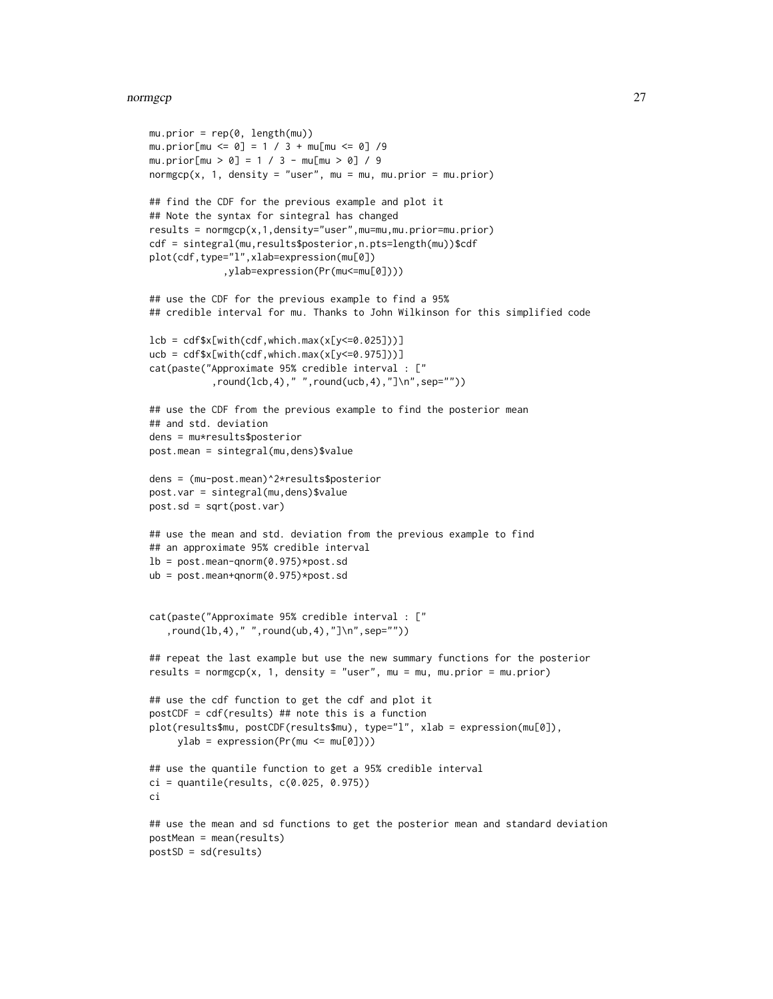#### normgcp 27

```
mu.printor = rep(0, length(mu))mu.prior[mu <= 0] = 1 / 3 + mu[mu <= 0] /9
mu.prior[mu > 0] = 1 / 3 - mu[mu > 0] / 9
normgcp(x, 1, density = "user", mu = mu, mu.prior = mu.prior)
## find the CDF for the previous example and plot it
## Note the syntax for sintegral has changed
results = normgcp(x,1,density="user",mu=mu,mu.prior=mu.prior)
cdf = sintegral(mu,results$posterior,n.pts=length(mu))$cdf
plot(cdf,type="l",xlab=expression(mu[0])
             ,ylab=expression(Pr(mu<=mu[0])))
## use the CDF for the previous example to find a 95%
## credible interval for mu. Thanks to John Wilkinson for this simplified code
lcb = cdf$x[with(cdf,which.max(x[y <= 0.025]))]
ucb = cdf$x[with(cdf,which.max(x[y<=0.975]))]
cat(paste("Approximate 95% credible interval : ["
           ,round(lcb,4)," ",round(ucb,4),"]\n",sep=""))
## use the CDF from the previous example to find the posterior mean
## and std. deviation
dens = mu*results$posterior
post.mean = sintegral(mu,dens)$value
dens = (mu-post.mean)^2*results$posterior
post.var = sintegral(mu,dens)$value
post.sd = sqrt(post.var)
## use the mean and std. deviation from the previous example to find
## an approximate 95% credible interval
lb = post_mean-qnorm(0.975)*post.sdub = post.mean+qnorm(0.975)*post.sd
cat(paste("Approximate 95% credible interval : ["
   ,round(lb,4)," ",round(ub,4),"]\n",sep=""))
## repeat the last example but use the new summary functions for the posterior
results = normgcp(x, 1, density = "user", mu = mu, mu.prior = mu.prior)
## use the cdf function to get the cdf and plot it
postCDF = cdf(results) ## note this is a function
plot(results$mu, postCDF(results$mu), type="l", xlab = expression(mu[0]),
     ylab = expression(Pr(mu \le mu[0]))## use the quantile function to get a 95% credible interval
ci = quantile(results, c(0.025, 0.975))ci
## use the mean and sd functions to get the posterior mean and standard deviation
postMean = mean(results)
postSD = sd(results)
```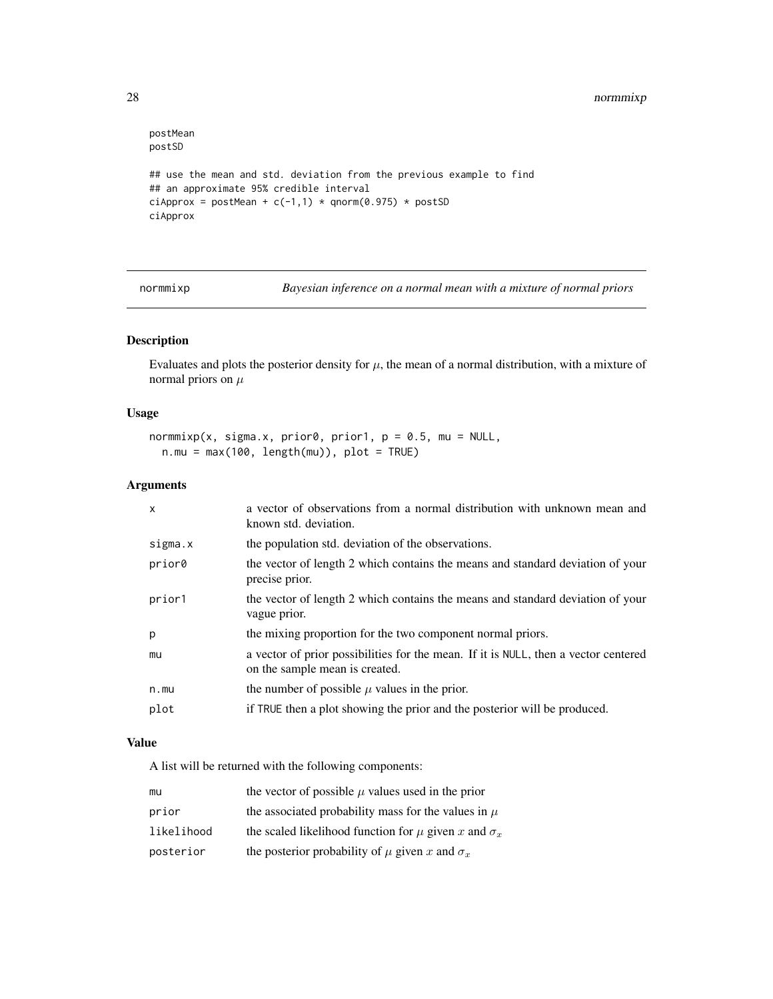```
postMean
postSD
## use the mean and std. deviation from the previous example to find
## an approximate 95% credible interval
ciApprox = postMean + c(-1,1) * qnorm(0.975) * postSD
ciApprox
```
normmixp *Bayesian inference on a normal mean with a mixture of normal priors*

#### Description

Evaluates and plots the posterior density for  $\mu$ , the mean of a normal distribution, with a mixture of normal priors on  $\mu$ 

#### Usage

```
normmixp(x, sigma.x, prior0, prior1, p = 0.5, mu = NULL,
 n.mu = max(100, length(mu)), plot = TRUE)
```
# Arguments

| $\mathsf{x}$ | a vector of observations from a normal distribution with unknown mean and<br>known std. deviation.                    |
|--------------|-----------------------------------------------------------------------------------------------------------------------|
| sigma.x      | the population std. deviation of the observations.                                                                    |
| prior0       | the vector of length 2 which contains the means and standard deviation of your<br>precise prior.                      |
| prior1       | the vector of length 2 which contains the means and standard deviation of your<br>vague prior.                        |
| p            | the mixing proportion for the two component normal priors.                                                            |
| mu           | a vector of prior possibilities for the mean. If it is NULL, then a vector centered<br>on the sample mean is created. |
| n.mu         | the number of possible $\mu$ values in the prior.                                                                     |
| plot         | if TRUE then a plot showing the prior and the posterior will be produced.                                             |

# Value

A list will be returned with the following components:

| mu         | the vector of possible $\mu$ values used in the prior           |
|------------|-----------------------------------------------------------------|
| prior      | the associated probability mass for the values in $\mu$         |
| likelihood | the scaled likelihood function for $\mu$ given x and $\sigma_x$ |
| posterior  | the posterior probability of $\mu$ given x and $\sigma_x$       |

<span id="page-27-0"></span>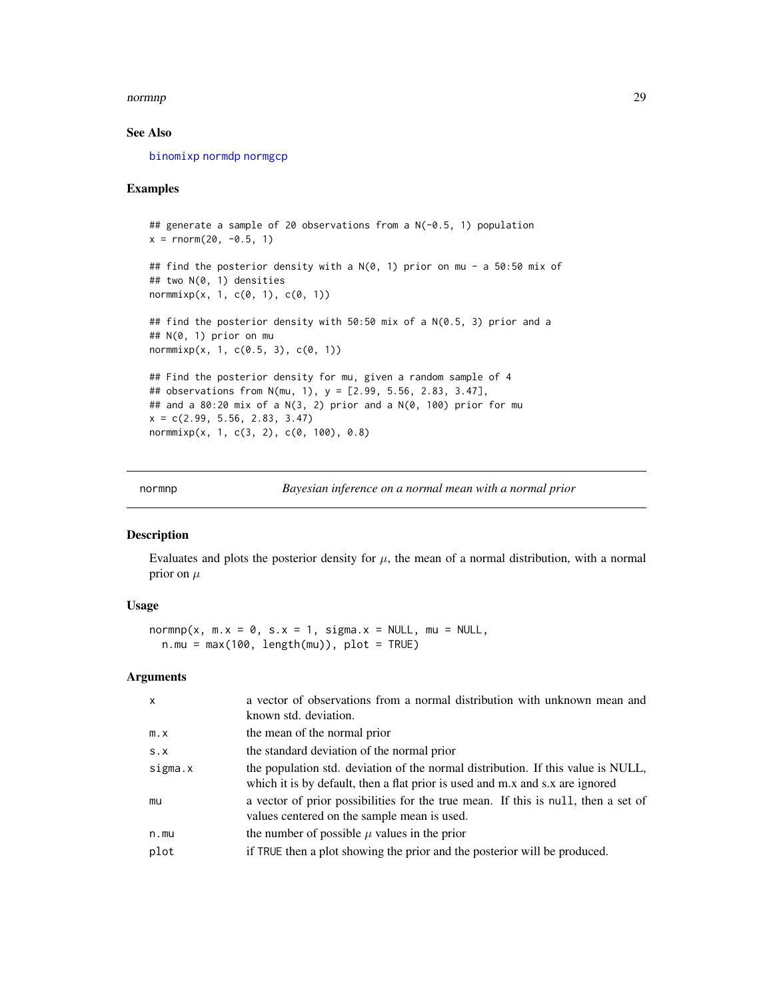#### <span id="page-28-0"></span>normnp 29

# See Also

[binomixp](#page-15-1) [normdp](#page-23-1) [normgcp](#page-24-1)

#### Examples

```
## generate a sample of 20 observations from a N(-0.5, 1) population
x = \text{rnorm}(20, -0.5, 1)## find the posterior density with a N(0, 1) prior on mu - a 50:50 mix of
## two N(0, 1) densities
normmixp(x, 1, c(0, 1), c(0, 1))
## find the posterior density with 50:50 mix of a N(0.5, 3) prior and a
## N(0, 1) prior on mu
normmixp(x, 1, c(0.5, 3), c(0, 1))## Find the posterior density for mu, given a random sample of 4
## observations from N(mu, 1), y = [2.99, 5.56, 2.83, 3.47],
## and a 80:20 mix of a N(3, 2) prior and a N(0, 100) prior for mu
x = c(2.99, 5.56, 2.83, 3.47)normmixp(x, 1, c(3, 2), c(0, 100), 0.8)
```
<span id="page-28-1"></span>

normnp *Bayesian inference on a normal mean with a normal prior*

#### Description

Evaluates and plots the posterior density for  $\mu$ , the mean of a normal distribution, with a normal prior on  $\mu$ 

#### Usage

 $normp(x, m.x = 0, s.x = 1, sigma.x = NULL, mu = NULL,$  $n.mu = max(100, length(mu))$ ,  $plot = TRUE$ )

| $\mathsf{x}$ | a vector of observations from a normal distribution with unknown mean and<br>known std. deviation.                                                                |
|--------------|-------------------------------------------------------------------------------------------------------------------------------------------------------------------|
| $m \cdot x$  | the mean of the normal prior                                                                                                                                      |
| S.X          | the standard deviation of the normal prior                                                                                                                        |
| sigma.x      | the population std. deviation of the normal distribution. If this value is NULL,<br>which it is by default, then a flat prior is used and m.x and s.x are ignored |
| mu           | a vector of prior possibilities for the true mean. If this is null, then a set of<br>values centered on the sample mean is used.                                  |
| n.mu         | the number of possible $\mu$ values in the prior                                                                                                                  |
| plot         | if TRUE then a plot showing the prior and the posterior will be produced.                                                                                         |
|              |                                                                                                                                                                   |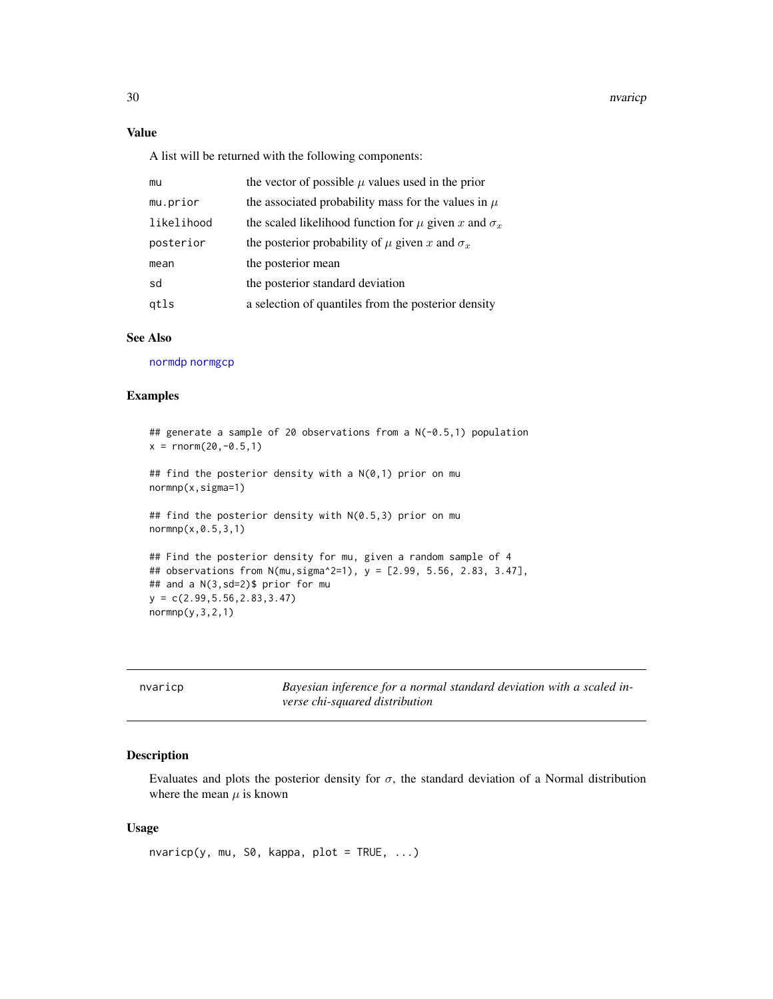30 nvariep

# Value

A list will be returned with the following components:

| mu         | the vector of possible $\mu$ values used in the prior           |
|------------|-----------------------------------------------------------------|
| mu.prior   | the associated probability mass for the values in $\mu$         |
| likelihood | the scaled likelihood function for $\mu$ given x and $\sigma_x$ |
| posterior  | the posterior probability of $\mu$ given x and $\sigma_x$       |
| mean       | the posterior mean                                              |
| sd         | the posterior standard deviation                                |
| gtls       | a selection of quantiles from the posterior density             |

# See Also

[normdp](#page-23-1) [normgcp](#page-24-1)

# Examples

```
## generate a sample of 20 observations from a N(-0.5,1) population
x = \text{rnorm}(20, -0.5, 1)## find the posterior density with a N(0,1) prior on mu
normnp(x,sigma=1)
## find the posterior density with N(0.5,3) prior on mu
normnp(x,0.5,3,1)
## Find the posterior density for mu, given a random sample of 4
## observations from N(mu,sigma^2=1), y = [2.99, 5.56, 2.83, 3.47],
```

| ## observations from N(mu.sigma^2=1).                                   y = [2.99. 5.56. 2.83. 3. |  |  |  |
|---------------------------------------------------------------------------------------------------|--|--|--|
| ## and a N(3,sd=2)\$ prior for mu                                                                 |  |  |  |
| $y = c(2.99.5.56.2.83.3.47)$                                                                      |  |  |  |
| /normnp(v.3.2.1)                                                                                  |  |  |  |
|                                                                                                   |  |  |  |

| nvaricp | Bayesian inference for a normal standard deviation with a scaled in- |
|---------|----------------------------------------------------------------------|
|         | verse chi-squared distribution                                       |

# Description

Evaluates and plots the posterior density for  $\sigma$ , the standard deviation of a Normal distribution where the mean  $\mu$  is known

#### Usage

nvaricp(y, mu, S0, kappa, plot = TRUE, ...)

<span id="page-29-0"></span>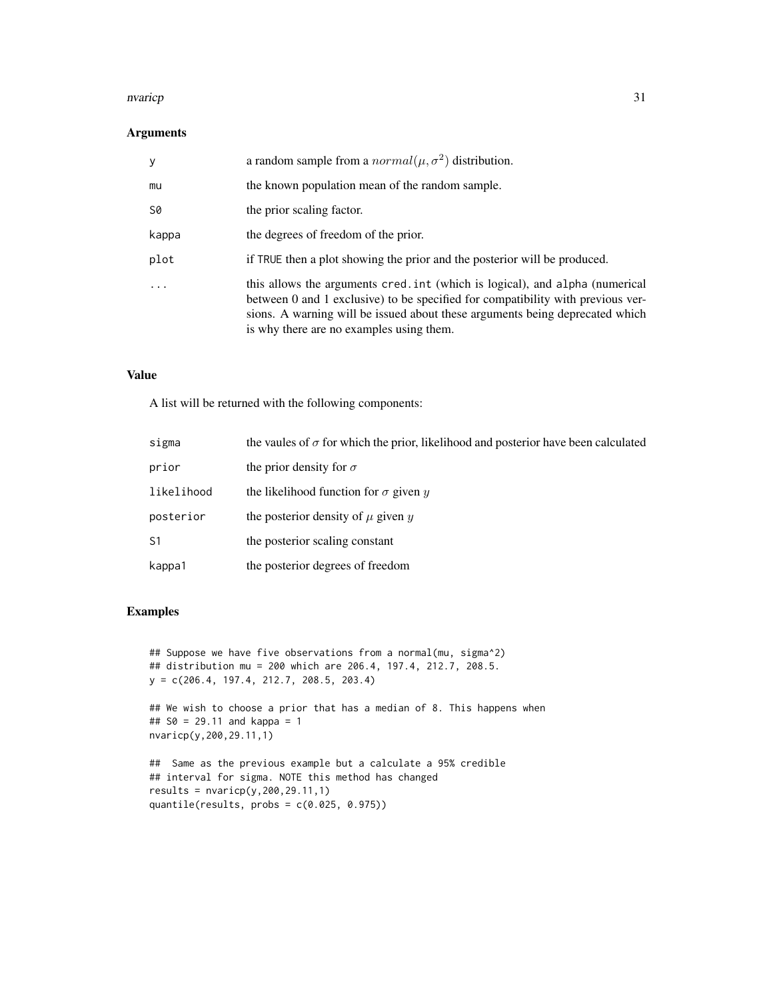#### nvaricp 31

# Arguments

| y     | a random sample from a $normal(\mu, \sigma^2)$ distribution.                                                                                                                                                                                                                                |
|-------|---------------------------------------------------------------------------------------------------------------------------------------------------------------------------------------------------------------------------------------------------------------------------------------------|
| mu    | the known population mean of the random sample.                                                                                                                                                                                                                                             |
| S0    | the prior scaling factor.                                                                                                                                                                                                                                                                   |
| kappa | the degrees of freedom of the prior.                                                                                                                                                                                                                                                        |
| plot  | if TRUE then a plot showing the prior and the posterior will be produced.                                                                                                                                                                                                                   |
|       | this allows the arguments cred. int (which is logical), and alpha (numerical<br>between 0 and 1 exclusive) to be specified for compatibility with previous ver-<br>sions. A warning will be issued about these arguments being deprecated which<br>is why there are no examples using them. |

# Value

A list will be returned with the following components:

| sigma      | the vaules of $\sigma$ for which the prior, likelihood and posterior have been calculated |
|------------|-------------------------------------------------------------------------------------------|
| prior      | the prior density for $\sigma$                                                            |
| likelihood | the likelihood function for $\sigma$ given y                                              |
| posterior  | the posterior density of $\mu$ given $\eta$                                               |
| S1         | the posterior scaling constant                                                            |
| kappa1     | the posterior degrees of freedom                                                          |

# Examples

```
## Suppose we have five observations from a normal(mu, sigma^2)
## distribution mu = 200 which are 206.4, 197.4, 212.7, 208.5.
y = c(206.4, 197.4, 212.7, 208.5, 203.4)
```

```
## We wish to choose a prior that has a median of 8. This happens when
## S0 = 29.11 and kappa = 1
nvaricp(y,200,29.11,1)
```

```
## Same as the previous example but a calculate a 95% credible
## interval for sigma. NOTE this method has changed
results = nvaricp(y, 200, 29.11, 1)quantile(results, probs = c(0.025, 0.975))
```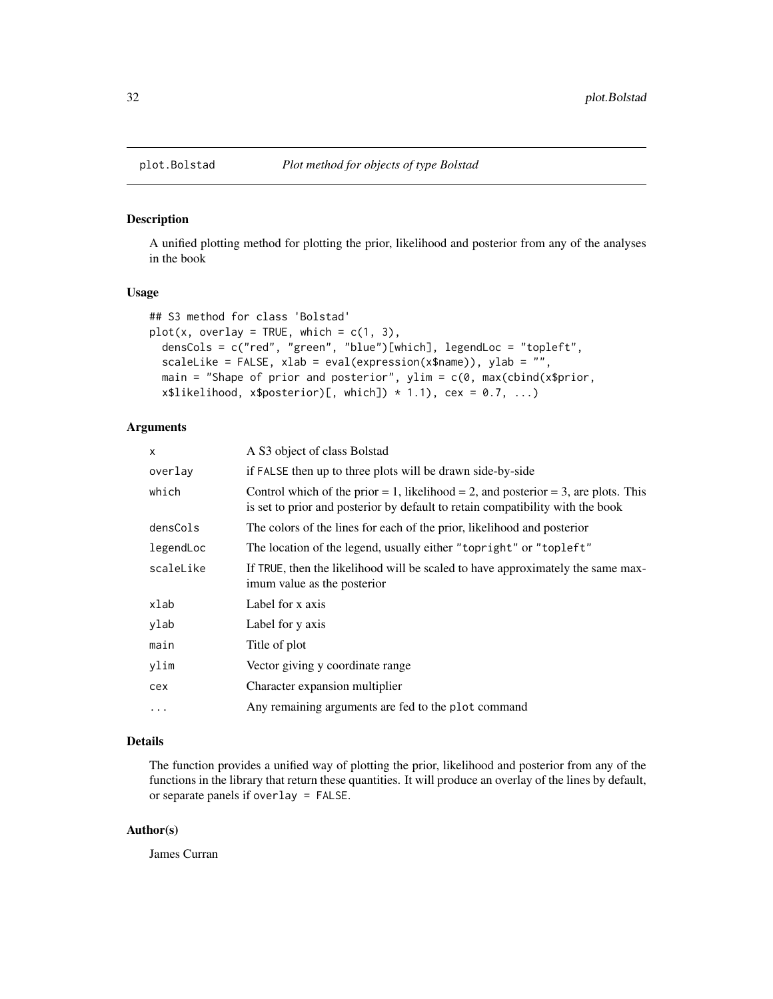A unified plotting method for plotting the prior, likelihood and posterior from any of the analyses in the book

#### Usage

```
## S3 method for class 'Bolstad'
plot(x, overlay = TRUE, which = c(1, 3),densCols = c("red", "green", "blue")[which], legendLoc = "topleft",
  scaleLike = FALSE, xlab = eval(expression(x$name)), ylab = "",
 main = "Shape of prior and posterior", ylim = c(\theta), max(cbind(x$prior,
  x$likelihood, x$posterior)[, which] * 1.1), cex = 0.7, ...)
```
#### Arguments

| $\mathsf{x}$ | A S3 object of class Bolstad                                                                                                                                         |
|--------------|----------------------------------------------------------------------------------------------------------------------------------------------------------------------|
| overlay      | if FALSE then up to three plots will be drawn side-by-side                                                                                                           |
| which        | Control which of the prior = 1, likelihood = 2, and posterior = 3, are plots. This<br>is set to prior and posterior by default to retain compatibility with the book |
| densCols     | The colors of the lines for each of the prior, likelihood and posterior                                                                                              |
| legendLoc    | The location of the legend, usually either "topright" or "topleft"                                                                                                   |
| scaleLike    | If TRUE, then the likelihood will be scaled to have approximately the same max-<br>imum value as the posterior                                                       |
| xlab         | Label for x axis                                                                                                                                                     |
| ylab         | Label for y axis                                                                                                                                                     |
| main         | Title of plot                                                                                                                                                        |
| ylim         | Vector giving y coordinate range                                                                                                                                     |
| cex          | Character expansion multiplier                                                                                                                                       |
| $\ddotsc$    | Any remaining arguments are fed to the plot command                                                                                                                  |

# Details

The function provides a unified way of plotting the prior, likelihood and posterior from any of the functions in the library that return these quantities. It will produce an overlay of the lines by default, or separate panels if overlay = FALSE.

#### Author(s)

James Curran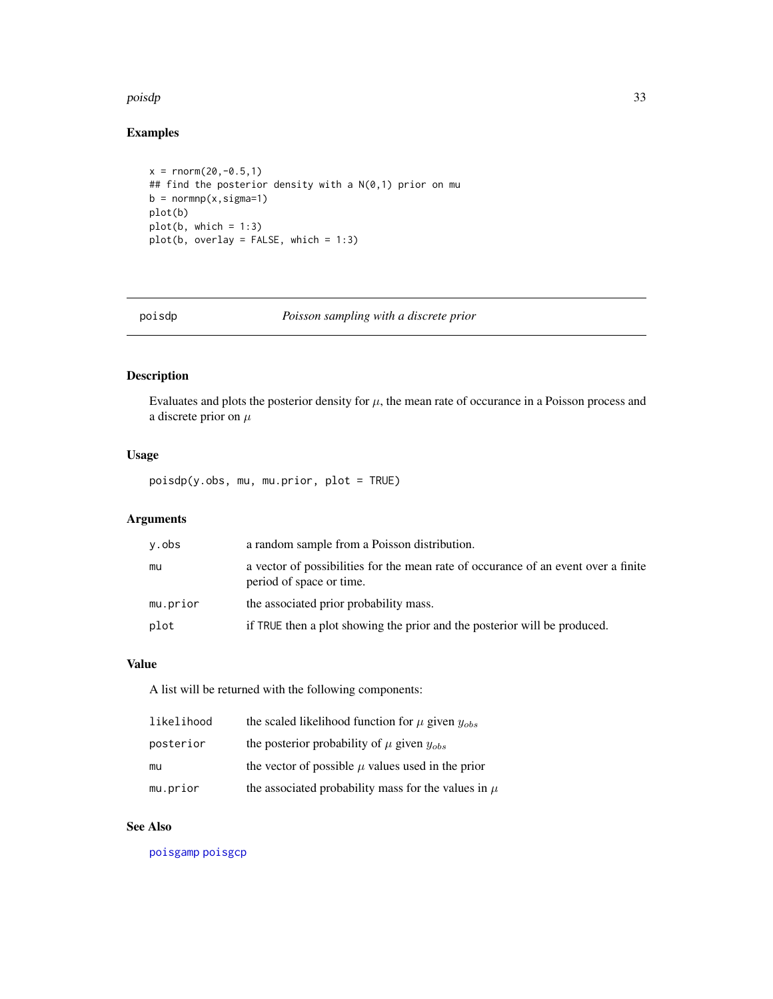#### <span id="page-32-0"></span>poisdp 33

# Examples

```
x = \text{norm}(20, -0.5, 1)## find the posterior density with a N(0,1) prior on mu
b = normnp(x, sigma=1)plot(b)
plot(b, which = 1:3)plot(b, overlay = FALSE, which = 1:3)
```
<span id="page-32-1"></span>

poisdp *Poisson sampling with a discrete prior*

# Description

Evaluates and plots the posterior density for  $\mu$ , the mean rate of occurance in a Poisson process and a discrete prior on  $\mu$ 

# Usage

poisdp(y.obs, mu, mu.prior, plot = TRUE)

# Arguments

| y.obs    | a random sample from a Poisson distribution.                                                                   |
|----------|----------------------------------------------------------------------------------------------------------------|
| mu       | a vector of possibilities for the mean rate of occurance of an event over a finite<br>period of space or time. |
| mu.prior | the associated prior probability mass.                                                                         |
| plot     | if TRUE then a plot showing the prior and the posterior will be produced.                                      |

# Value

A list will be returned with the following components:

| likelihood | the scaled likelihood function for $\mu$ given $y_{obs}$ |
|------------|----------------------------------------------------------|
| posterior  | the posterior probability of $\mu$ given $y_{obs}$       |
| mu         | the vector of possible $\mu$ values used in the prior    |
| mu.prior   | the associated probability mass for the values in $\mu$  |

# See Also

[poisgamp](#page-33-1) [poisgcp](#page-35-1)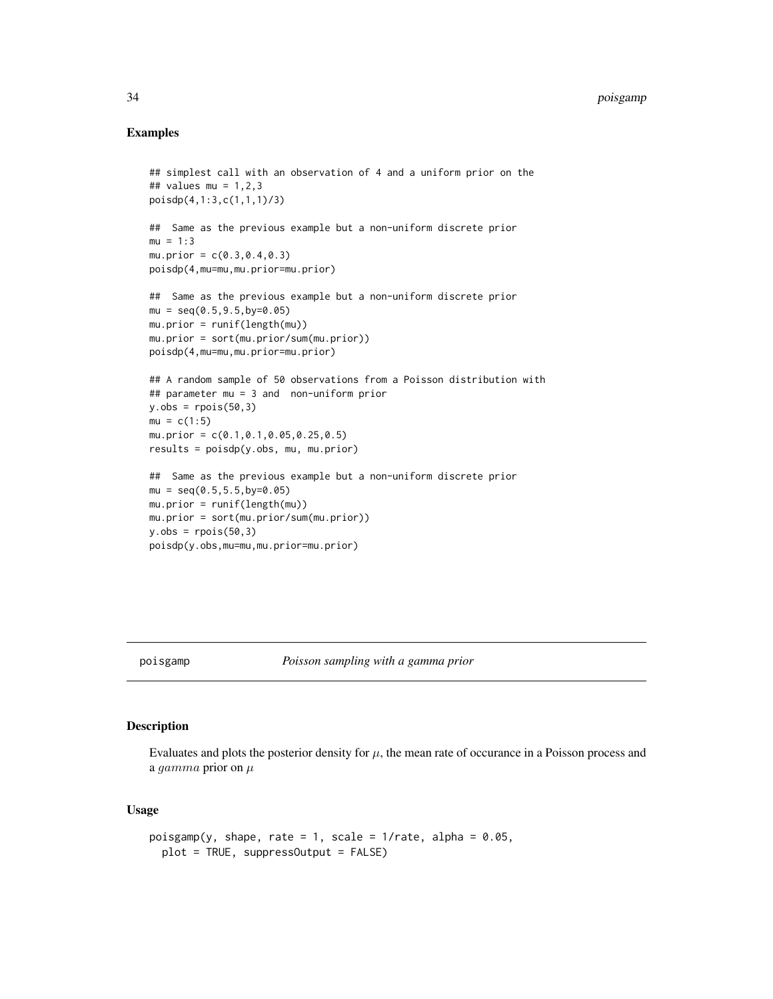# <span id="page-33-0"></span>Examples

```
## simplest call with an observation of 4 and a uniform prior on the
## values mu = 1,2,3
poisdp(4,1:3,c(1,1,1)/3)
## Same as the previous example but a non-uniform discrete prior
mu = 1:3mu. prior = c(0.3, 0.4, 0.3)poisdp(4,mu=mu,mu.prior=mu.prior)
## Same as the previous example but a non-uniform discrete prior
mu = seq(0.5, 9.5, by=0.05)mu.prior = runif(length(mu))
mu.prior = sort(mu.prior/sum(mu.prior))
poisdp(4,mu=mu,mu.prior=mu.prior)
## A random sample of 50 observations from a Poisson distribution with
## parameter mu = 3 and non-uniform prior
y.obs = \text{rpois}(50, 3)mu = c(1:5)mu.prior = c(0.1,0.1,0.05,0.25,0.5)
results = poisdp(y.obs, mu, mu.prior)
## Same as the previous example but a non-uniform discrete prior
mu = seq(0.5, 5.5, by=0.05)mu.prior = runif(length(mu))
mu.prior = sort(mu.prior/sum(mu.prior))
y.obs = \text{rpois}(50, 3)poisdp(y.obs,mu=mu,mu.prior=mu.prior)
```
<span id="page-33-1"></span>

#### poisgamp *Poisson sampling with a gamma prior*

#### Description

Evaluates and plots the posterior density for  $\mu$ , the mean rate of occurance in a Poisson process and a gamma prior on  $\mu$ 

#### Usage

```
poisgamp(y, shape, rate = 1, scale = 1/rate, alpha = 0.05,
 plot = TRUE, suppressOutput = FALSE)
```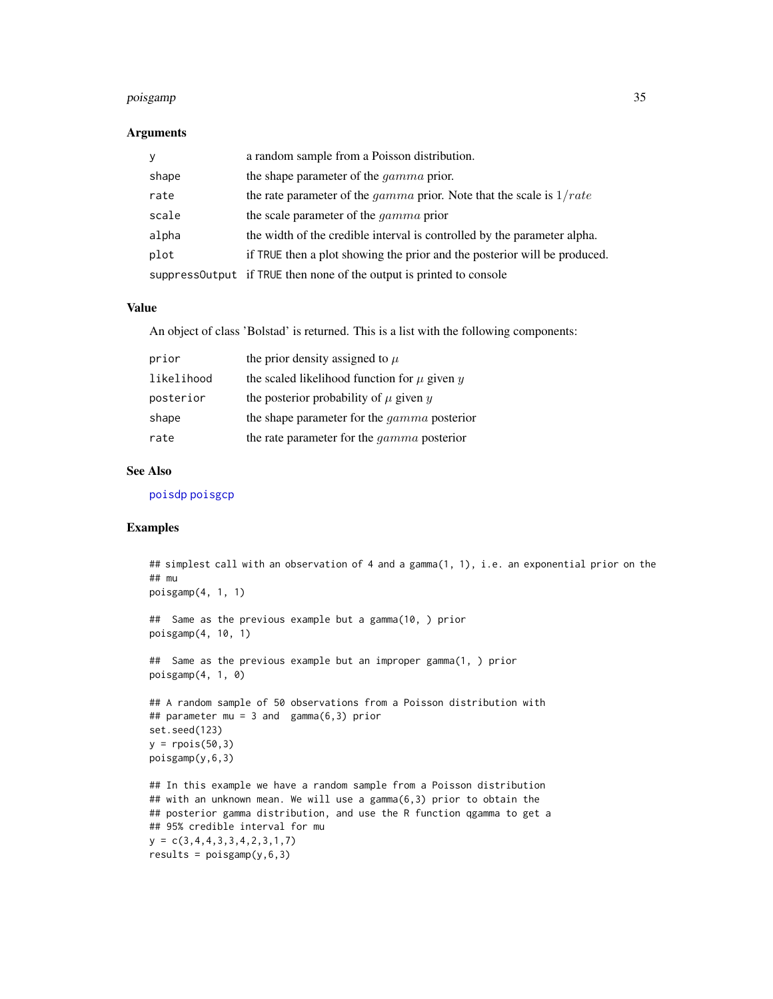#### <span id="page-34-0"></span>poisgamp 35

#### Arguments

| V     | a random sample from a Poisson distribution.                                  |
|-------|-------------------------------------------------------------------------------|
| shape | the shape parameter of the <i>gamma</i> prior.                                |
| rate  | the rate parameter of the <i>gamma</i> prior. Note that the scale is $1/rate$ |
| scale | the scale parameter of the <i>gamma</i> prior                                 |
| alpha | the width of the credible interval is controlled by the parameter alpha.      |
| plot  | if TRUE then a plot showing the prior and the posterior will be produced.     |
|       | suppressOutput if TRUE then none of the output is printed to console          |

#### Value

An object of class 'Bolstad' is returned. This is a list with the following components:

| prior      | the prior density assigned to $\mu$                     |
|------------|---------------------------------------------------------|
| likelihood | the scaled likelihood function for $\mu$ given $\gamma$ |
| posterior  | the posterior probability of $\mu$ given $y$            |
| shape      | the shape parameter for the <i>gamma</i> posterior      |
| rate       | the rate parameter for the <i>gamma</i> posterior       |

# See Also

[poisdp](#page-32-1) [poisgcp](#page-35-1)

# Examples

```
## simplest call with an observation of 4 and a gamma(1, 1), i.e. an exponential prior on the
## mu
poisgamp(4, 1, 1)
## Same as the previous example but a gamma(10, ) prior
poisgamp(4, 10, 1)
## Same as the previous example but an improper gamma(1, ) prior
poisgamp(4, 1, 0)
## A random sample of 50 observations from a Poisson distribution with
## parameter mu = 3 and gamma(6,3) prior
set.seed(123)
y = \text{rpois}(50, 3)poisgamp(y,6,3)
## In this example we have a random sample from a Poisson distribution
## with an unknown mean. We will use a gamma(6,3) prior to obtain the
## posterior gamma distribution, and use the R function qgamma to get a
## 95% credible interval for mu
y = c(3, 4, 4, 3, 3, 4, 2, 3, 1, 7)results = poisgamp(y, 6, 3)
```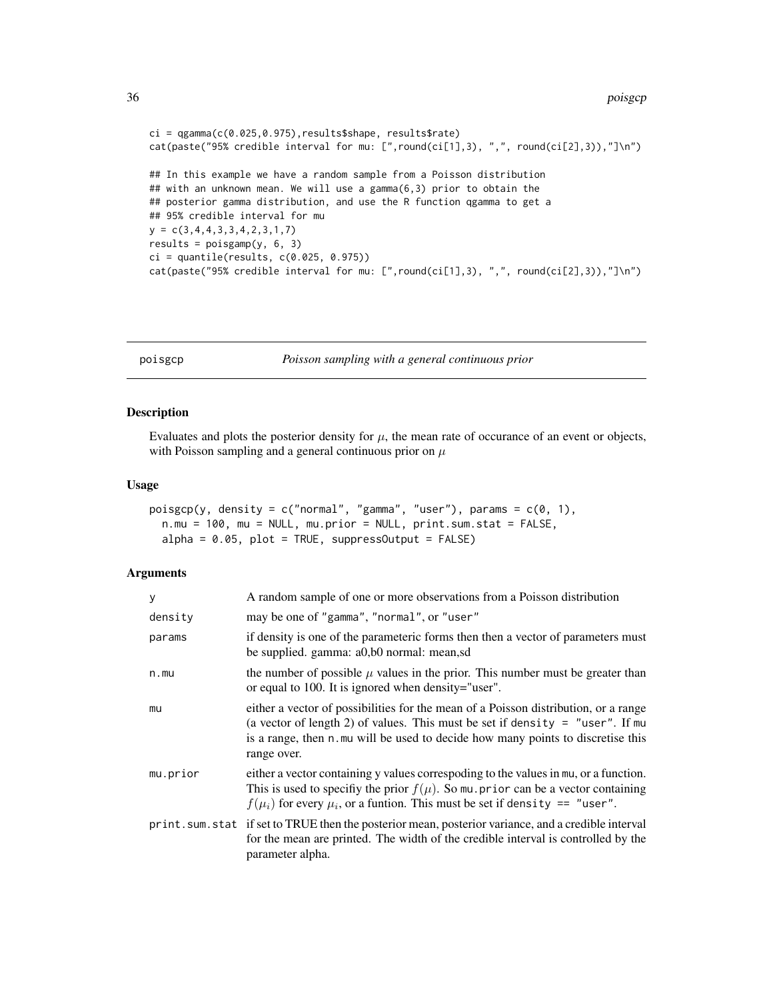```
ci = qgamma(c(0.025,0.975),results$shape, results$rate)
cat(paste("95% credible interval for mu: [",round(ci[1],3), ",", round(ci[2],3)),"]\n")
## In this example we have a random sample from a Poisson distribution
## with an unknown mean. We will use a gamma(6,3) prior to obtain the
## posterior gamma distribution, and use the R function qgamma to get a
## 95% credible interval for mu
y = c(3, 4, 4, 3, 3, 4, 2, 3, 1, 7)results = poisgamp(y, 6, 3)ci = quantile(results, c(0.025, 0.975))cat(paste("95% credible interval for mu: [",round(ci[1],3), ",", round(ci[2],3)),"]\n")
```
<span id="page-35-1"></span>poisgcp *Poisson sampling with a general continuous prior*

#### Description

Evaluates and plots the posterior density for  $\mu$ , the mean rate of occurance of an event or objects, with Poisson sampling and a general continuous prior on  $\mu$ 

# Usage

```
poisgcp(y, density = c("normal", "gamma", "user"), params = <math>c(0, 1)</math>,n.mu = 100, mu = NULL, mu.prior = NULL, print.sum.stat = FALSE,
  alpha = 0.05, plot = TRUE, suppressOutput = FALSE)
```

| У        | A random sample of one or more observations from a Poisson distribution                                                                                                                                                                                                |
|----------|------------------------------------------------------------------------------------------------------------------------------------------------------------------------------------------------------------------------------------------------------------------------|
| density  | may be one of "gamma", "normal", or "user"                                                                                                                                                                                                                             |
| params   | if density is one of the parameteric forms then then a vector of parameters must<br>be supplied. gamma: a0,b0 normal: mean,sd                                                                                                                                          |
| n.mu     | the number of possible $\mu$ values in the prior. This number must be greater than<br>or equal to 100. It is ignored when density="user".                                                                                                                              |
| mu       | either a vector of possibilities for the mean of a Poisson distribution, or a range<br>(a vector of length 2) of values. This must be set if density = "user". If mu<br>is a range, then n.mu will be used to decide how many points to discretise this<br>range over. |
| mu.prior | either a vector containing y values correspoding to the values in mu, or a function.<br>This is used to specify the prior $f(\mu)$ . So mu. prior can be a vector containing<br>$f(\mu_i)$ for every $\mu_i$ , or a funtion. This must be set if density == "user".    |
|          | print. sum. stat if set to TRUE then the posterior mean, posterior variance, and a credible interval<br>for the mean are printed. The width of the credible interval is controlled by the<br>parameter alpha.                                                          |

<span id="page-35-0"></span>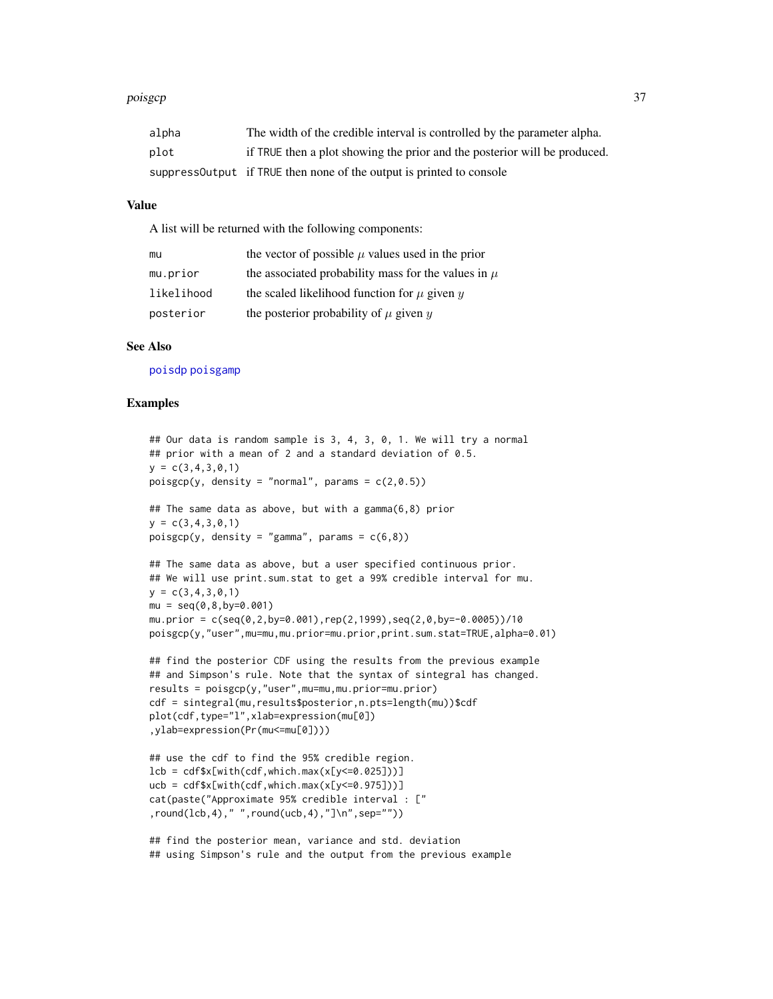#### <span id="page-36-0"></span>poisgcp 37

| alpha | The width of the credible interval is controlled by the parameter alpha.  |
|-------|---------------------------------------------------------------------------|
| plot  | if TRUE then a plot showing the prior and the posterior will be produced. |
|       | suppressout put if TRUE then none of the output is printed to console     |

#### Value

A list will be returned with the following components:

| mu         | the vector of possible $\mu$ values used in the prior   |
|------------|---------------------------------------------------------|
| mu.prior   | the associated probability mass for the values in $\mu$ |
| likelihood | the scaled likelihood function for $\mu$ given $y$      |
| posterior  | the posterior probability of $\mu$ given $y$            |

#### See Also

[poisdp](#page-32-1) [poisgamp](#page-33-1)

#### Examples

```
## Our data is random sample is 3, 4, 3, 0, 1. We will try a normal
## prior with a mean of 2 and a standard deviation of 0.5.
y = c(3, 4, 3, 0, 1)poisgcp(y, density = "normal", params = c(2,0.5))
## The same data as above, but with a gamma(6,8) prior
y = c(3, 4, 3, 0, 1)poisgcp(y, density = "gamma", params = c(6,8))## The same data as above, but a user specified continuous prior.
## We will use print.sum.stat to get a 99% credible interval for mu.
y = c(3, 4, 3, 0, 1)mu = seq(0, 8, by=0.001)mu. prior = c(seq(0, 2, by=0.001), rep(2, 1999), seq(2, 0, by=-0.0005))/10poisgcp(y,"user",mu=mu,mu.prior=mu.prior,print.sum.stat=TRUE,alpha=0.01)
## find the posterior CDF using the results from the previous example
## and Simpson's rule. Note that the syntax of sintegral has changed.
results = poisgcp(y,"user",mu=mu,mu.prior=mu.prior)
cdf = sintegral(mu,results$posterior,n.pts=length(mu))$cdf
plot(cdf,type="l",xlab=expression(mu[0])
,ylab=expression(Pr(mu<=mu[0])))
## use the cdf to find the 95% credible region.
lcb = cdf$x[with(cdf,which.max(x[y<=0.025]))]
ucb = cdf$x[with(cdf,which.max(x[y<=0.975]))]
cat(paste("Approximate 95% credible interval : ["
,round(lcb,4)," ",round(ucb,4),"]\n",sep=""))
## find the posterior mean, variance and std. deviation
```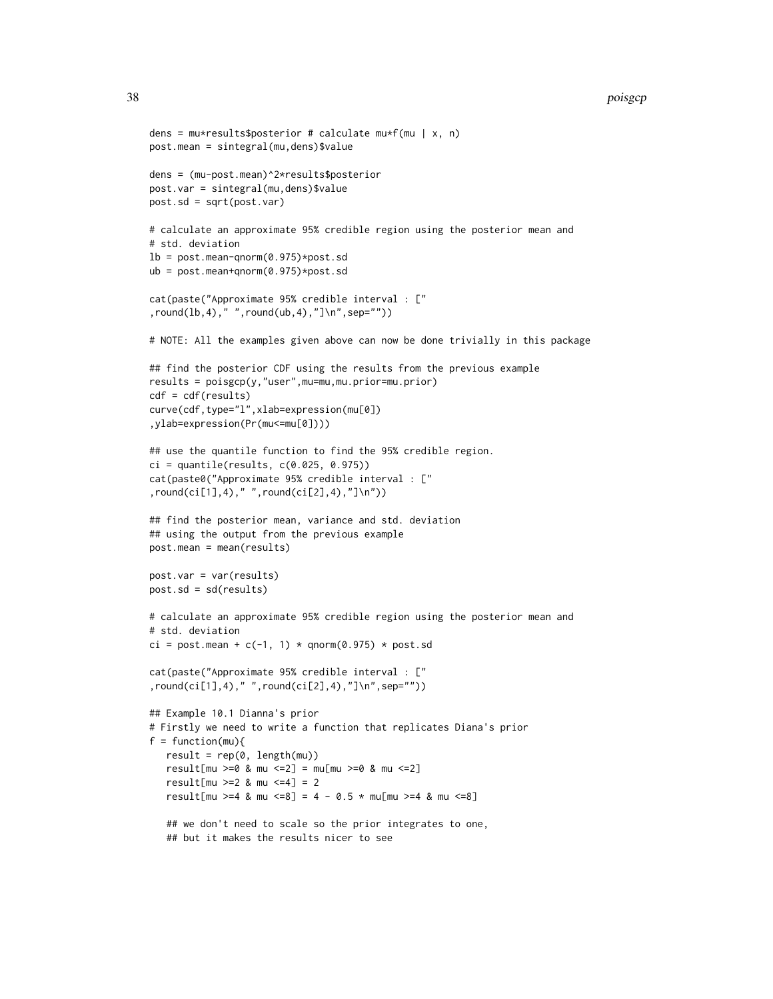#### 38 poisgcp

```
dens = mu*results$posterior # calculate mu*f(mu | x, n)
post.mean = sintegral(mu,dens)$value
dens = (mu-post.mean)^2*results$posterior
post.var = sintegral(mu,dens)$value
post.sd = sqrt(post.var)
# calculate an approximate 95% credible region using the posterior mean and
# std. deviation
lb = post_mean-qnorm(0.975) * post.sdub = post.mean+qnorm(0.975)*post.sd
cat(paste("Approximate 95% credible interval : ["
,round(lb,4)," ",round(ub,4),"]\n",sep=""))
# NOTE: All the examples given above can now be done trivially in this package
## find the posterior CDF using the results from the previous example
results = poisgcp(y,"user",mu=mu,mu.prior=mu.prior)
cdf = cdf(results)
curve(cdf,type="l",xlab=expression(mu[0])
,ylab=expression(Pr(mu<=mu[0])))
## use the quantile function to find the 95% credible region.
ci = quantile(results, c(0.025, 0.975))
cat(paste0("Approximate 95% credible interval : ["
,round(ci[1],4)," ",round(ci[2],4),"]\n"))
## find the posterior mean, variance and std. deviation
## using the output from the previous example
post.mean = mean(results)
post.var = var(results)
post.sd = sd(results)
# calculate an approximate 95% credible region using the posterior mean and
# std. deviation
ci = post.mean + c(-1, 1) * qnorm(0.975) * post.sd
cat(paste("Approximate 95% credible interval : ["
,round(ci[1],4)," ",round(ci[2],4),"]\n",sep=""))
## Example 10.1 Dianna's prior
# Firstly we need to write a function that replicates Diana's prior
f = function(mu)result = rep(0, length(mu))result[mu >=0 & mu <=2] = mu[mu >=0 & mu <=2]
   result[mu >=2 & mu <=4] = 2
   result[mu >=4 & mu <=8] = 4 - 0.5 * mu[mu >=4 & mu <=8]
   ## we don't need to scale so the prior integrates to one,
   ## but it makes the results nicer to see
```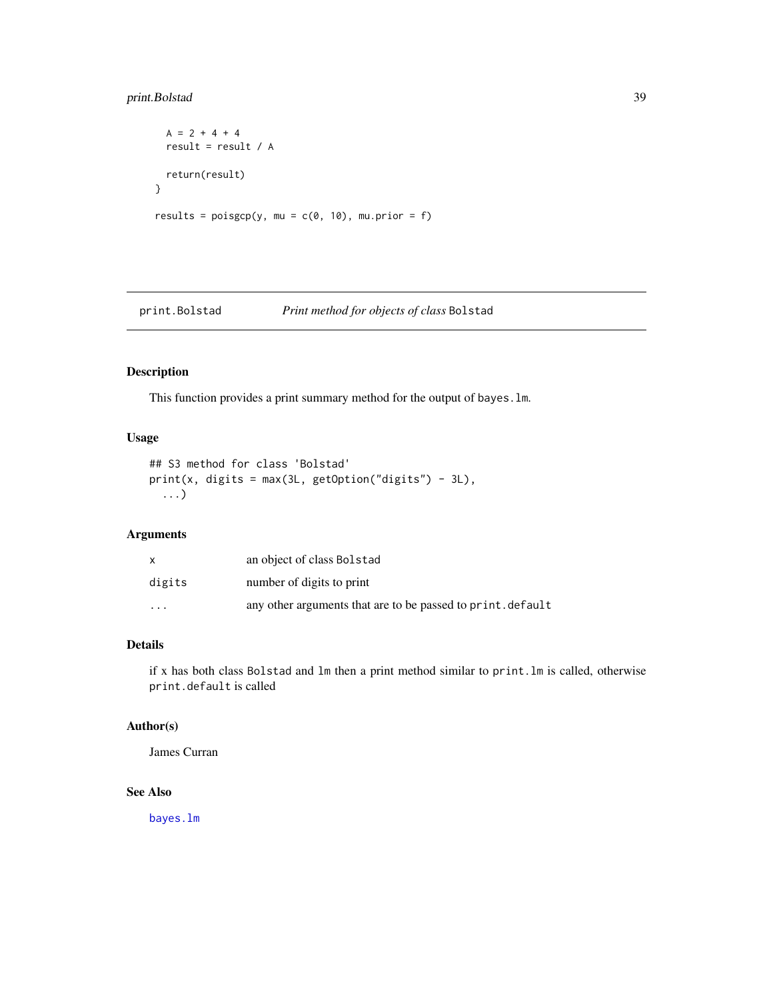# <span id="page-38-0"></span>print.Bolstad 39

```
A = 2 + 4 + 4result = result / A
 return(result)
}
results = poisgcp(y, mu = c(0, 10), mu.prior = f)
```
#### print.Bolstad *Print method for objects of class* Bolstad

#### Description

This function provides a print summary method for the output of bayes.lm.

# Usage

```
## S3 method for class 'Bolstad'
print(x, digits = max(3L, getOption("digits") - 3L),
  ...)
```
# Arguments

|          | an object of class Bolstad                                  |
|----------|-------------------------------------------------------------|
| digits   | number of digits to print                                   |
| $\cdots$ | any other arguments that are to be passed to print. default |

# Details

if x has both class Bolstad and lm then a print method similar to print.lm is called, otherwise print.default is called

# Author(s)

James Curran

# See Also

[bayes.lm](#page-4-1)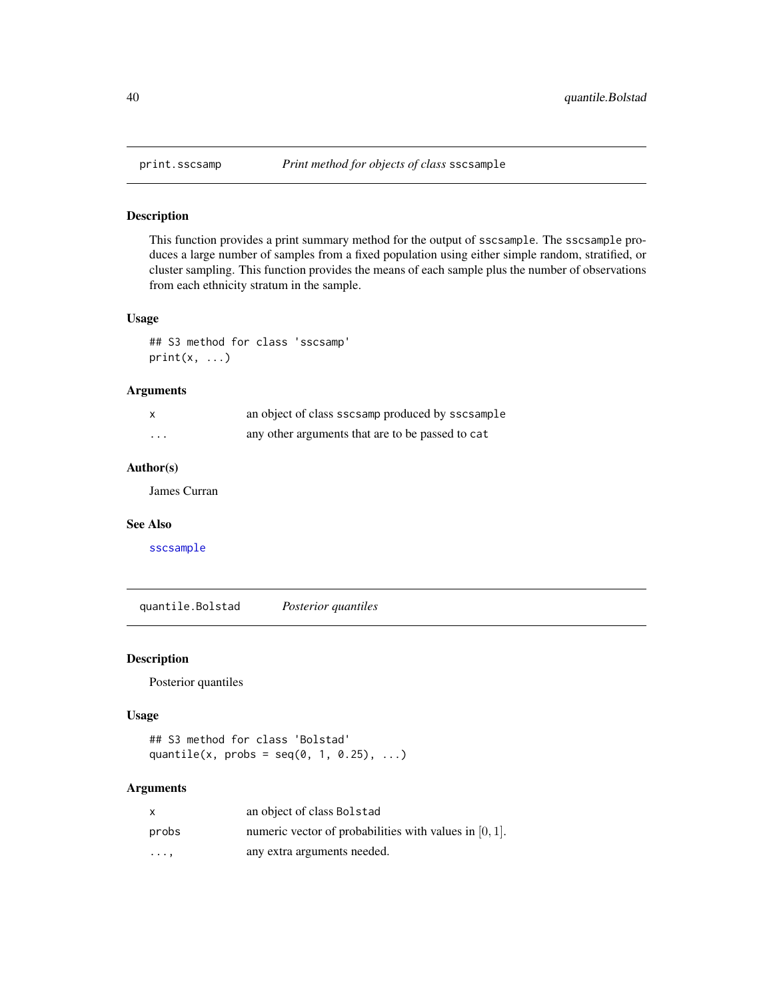This function provides a print summary method for the output of sscsample. The sscsample produces a large number of samples from a fixed population using either simple random, stratified, or cluster sampling. This function provides the means of each sample plus the number of observations from each ethnicity stratum in the sample.

# Usage

```
## S3 method for class 'sscsamp'
print(x, \ldots)
```
# Arguments

|         | an object of class sscsamp produced by sscsample |
|---------|--------------------------------------------------|
| $\cdot$ | any other arguments that are to be passed to cat |

# Author(s)

James Curran

# See Also

[sscsample](#page-43-1)

quantile.Bolstad *Posterior quantiles*

#### Description

Posterior quantiles

# Usage

```
## S3 method for class 'Bolstad'
quantile(x, probs = seq(0, 1, 0.25), ...)
```

| X          | an object of class Bolstad                                |
|------------|-----------------------------------------------------------|
| probs      | numeric vector of probabilities with values in $[0, 1]$ . |
| $\cdots$ . | any extra arguments needed.                               |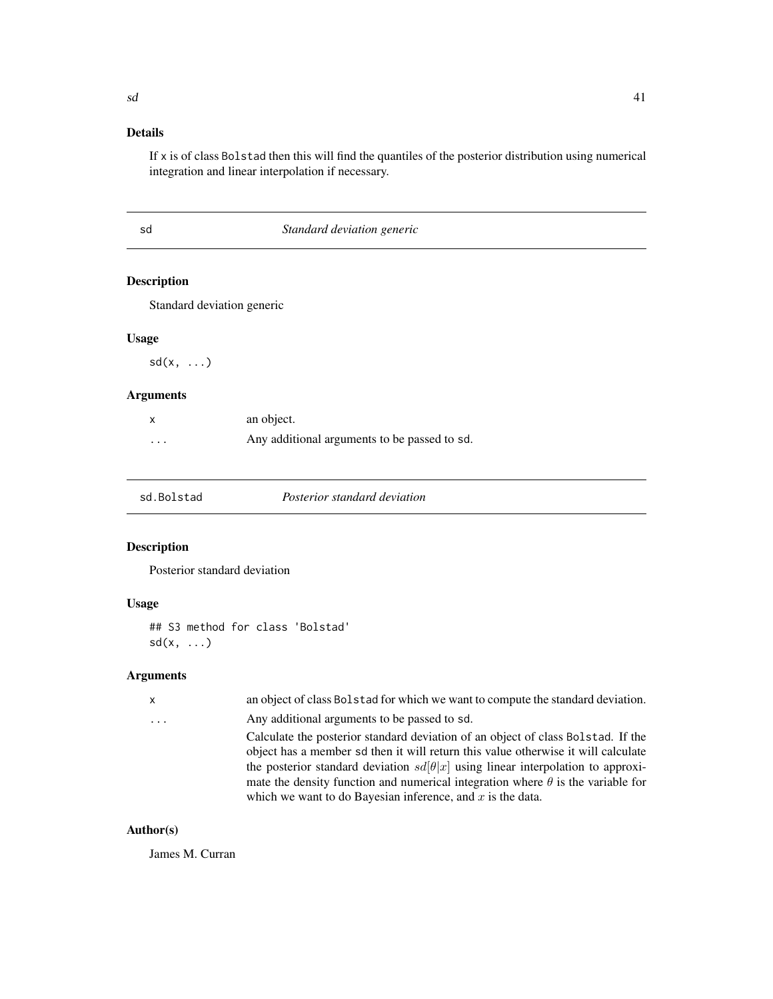# <span id="page-40-0"></span>Details

If x is of class Bolstad then this will find the quantiles of the posterior distribution using numerical integration and linear interpolation if necessary.

| I | ٩ |
|---|---|
| I |   |

# Standard deviation generic

# Description

Standard deviation generic

# Usage

 $sd(x, \ldots)$ 

# Arguments

|          | an object.                                   |
|----------|----------------------------------------------|
| $\cdots$ | Any additional arguments to be passed to sd. |

| sd.Bolstad | <i>Posterior standard deviation</i> |
|------------|-------------------------------------|
|------------|-------------------------------------|

# Description

Posterior standard deviation

# Usage

```
## S3 method for class 'Bolstad'
sd(x, \ldots)
```
# Arguments

| Any additional arguments to be passed to sd.<br>$\ddots$ | $\mathsf{x}$ | an object of class Bolstad for which we want to compute the standard deviation.                                                                                                                                                                                                                                                                                                                                           |
|----------------------------------------------------------|--------------|---------------------------------------------------------------------------------------------------------------------------------------------------------------------------------------------------------------------------------------------------------------------------------------------------------------------------------------------------------------------------------------------------------------------------|
|                                                          |              |                                                                                                                                                                                                                                                                                                                                                                                                                           |
|                                                          |              | Calculate the posterior standard deviation of an object of class Bolstad. If the<br>object has a member sd then it will return this value otherwise it will calculate<br>the posterior standard deviation $sd[\theta x]$ using linear interpolation to approxi-<br>mate the density function and numerical integration where $\theta$ is the variable for<br>which we want to do Bayesian inference, and $x$ is the data. |

# Author(s)

James M. Curran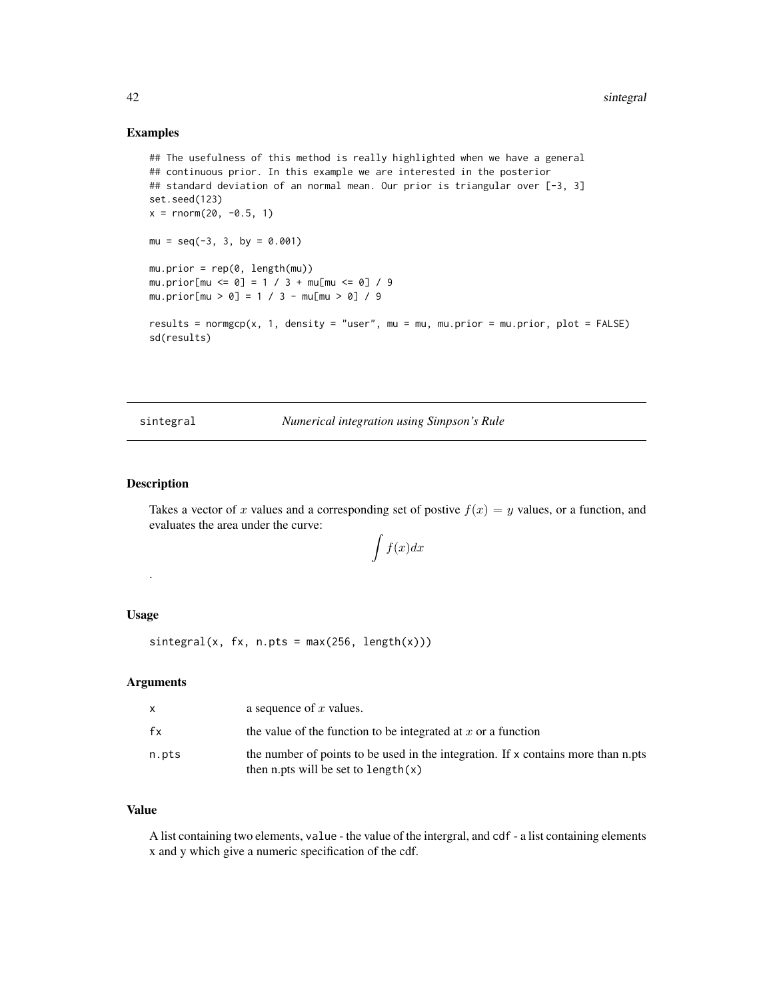#### <span id="page-41-0"></span>Examples

```
## The usefulness of this method is really highlighted when we have a general
## continuous prior. In this example we are interested in the posterior
## standard deviation of an normal mean. Our prior is triangular over [-3, 3]
set.seed(123)
x = \text{rnorm}(20, -0.5, 1)mu = seq(-3, 3, by = 0.001)mu.prior = rep(0, length(mu))
mu.prior[mu <= 0] = 1 / 3 + mu[mu <= 0] / 9
mu.prior[mu > 0] = 1 / 3 - mu[mu > 0] / 9
results = normgcp(x, 1, density = "user", mu = mu, mu.prior = mu.prior, plot = FALSE)
sd(results)
```
sintegral *Numerical integration using Simpson's Rule*

#### Description

Takes a vector of x values and a corresponding set of postive  $f(x) = y$  values, or a function, and evaluates the area under the curve:

$$
\int f(x)dx
$$

## Usage

.

 $sinterval(x, fx, n.pts = max(256, length(x)))$ 

#### Arguments

|       | a sequence of $x$ values.                                                                                                     |
|-------|-------------------------------------------------------------------------------------------------------------------------------|
| fx    | the value of the function to be integrated at $x$ or a function                                                               |
| n.pts | the number of points to be used in the integration. If $x$ contains more than n.pts<br>then n.pts will be set to length $(x)$ |

# Value

A list containing two elements, value - the value of the intergral, and cdf - a list containing elements x and y which give a numeric specification of the cdf.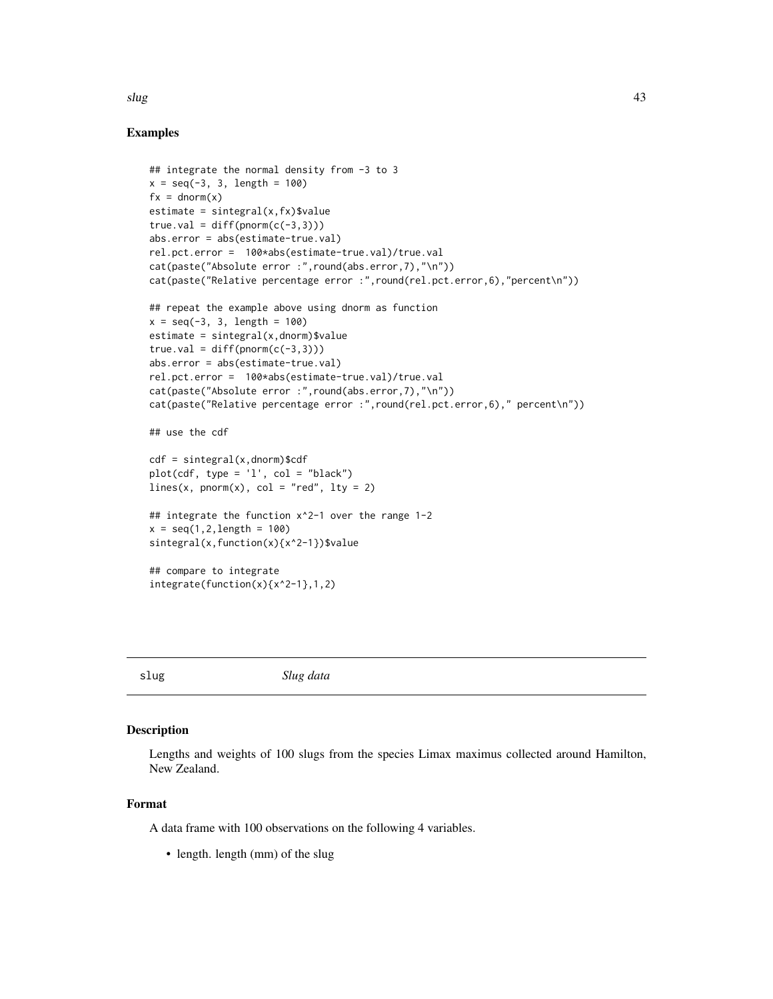# <span id="page-42-0"></span>slug to the contract of the contract of the contract of the contract of the contract of the contract of the contract of the contract of the contract of the contract of the contract of the contract of the contract of the co

# Examples

```
## integrate the normal density from -3 to 3
x = seq(-3, 3, length = 100)fx = \text{dnorm}(x)estimate = sintercal(x, fx)$value
true.val = diff(pnorm(c(-3,3)))abs.error = abs(estimate-true.val)
rel.pct.error = 100*abs(estimate-true.val)/true.val
cat(paste("Absolute error :",round(abs.error,7),"\n"))
cat(paste("Relative percentage error :",round(rel.pct.error,6),"percent\n"))
## repeat the example above using dnorm as function
x = seq(-3, 3, length = 100)estimate = sintegral(x,dnorm)$value
true.val = diff(pnorm(c(-3,3)))abs.error = abs(estimate-true.val)
rel.pct.error = 100*abs(estimate-true.val)/true.val
cat(paste("Absolute error :",round(abs.error,7),"\n"))
cat(paste("Relative percentage error :",round(rel.pct.error,6)," percent\n"))
## use the cdf
cdf = sintegral(x,dnorm)$cdf
plot(cd, type = 'l', col = "black")lines(x, pnorm(x), col = "red", lty = 2)## integrate the function x^2-1 over the range 1-2
x = seq(1, 2, length = 100)sintegral(x,function(x){x^2-1})$value
## compare to integrate
integrate(function(x){x^2-1},1,2)
```
slug *Slug data*

#### Description

Lengths and weights of 100 slugs from the species Limax maximus collected around Hamilton, New Zealand.

#### Format

A data frame with 100 observations on the following 4 variables.

• length. length (mm) of the slug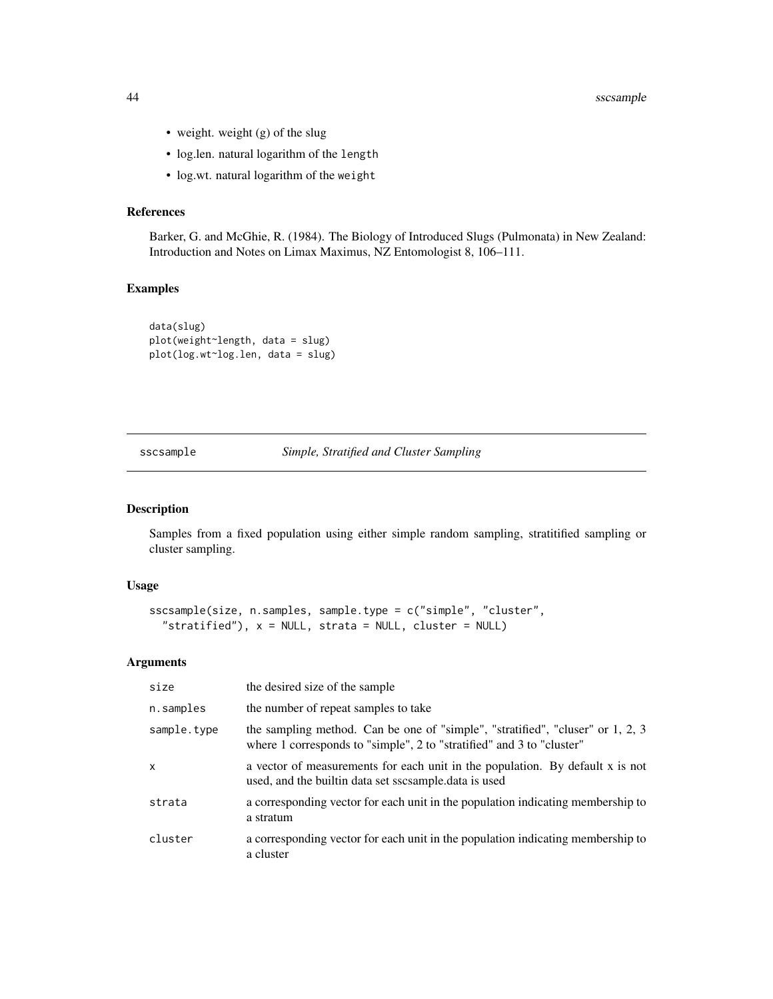- <span id="page-43-0"></span>• weight. weight (g) of the slug
- log.len. natural logarithm of the length
- log.wt. natural logarithm of the weight

#### References

Barker, G. and McGhie, R. (1984). The Biology of Introduced Slugs (Pulmonata) in New Zealand: Introduction and Notes on Limax Maximus, NZ Entomologist 8, 106–111.

# Examples

```
data(slug)
plot(weight~length, data = slug)
plot(log.wt~log.len, data = slug)
```
<span id="page-43-1"></span>sscsample *Simple, Stratified and Cluster Sampling*

# Description

Samples from a fixed population using either simple random sampling, stratitified sampling or cluster sampling.

#### Usage

```
sscsample(size, n.samples, sample.type = c("simple", "cluster",
  "stratified"), x = NULL, strata = NULL, cluster = NULL)
```

| size        | the desired size of the sample                                                                                                                          |
|-------------|---------------------------------------------------------------------------------------------------------------------------------------------------------|
| n.samples   | the number of repeat samples to take                                                                                                                    |
| sample.type | the sampling method. Can be one of "simple", "stratified", "cluser" or 1, 2, 3<br>where 1 corresponds to "simple", 2 to "stratified" and 3 to "cluster" |
| x           | a vector of measurements for each unit in the population. By default x is not<br>used, and the builtin data set sscsample.data is used                  |
| strata      | a corresponding vector for each unit in the population indicating membership to<br>a stratum                                                            |
| cluster     | a corresponding vector for each unit in the population indicating membership to<br>a cluster                                                            |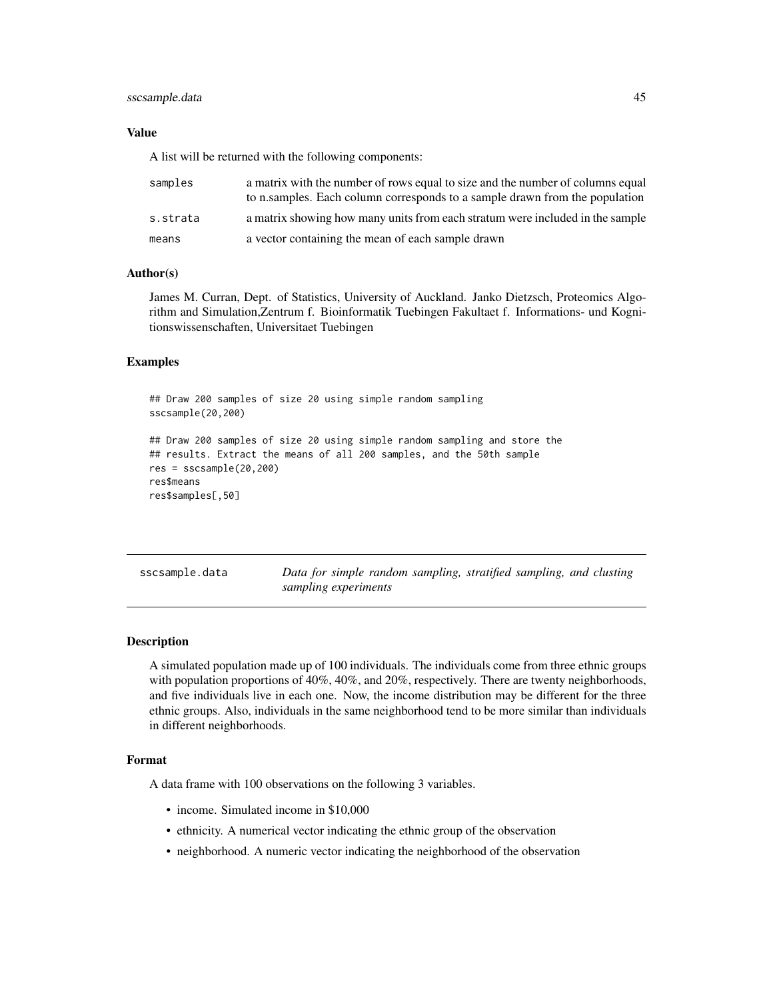# <span id="page-44-0"></span>sscsample.data 45

#### Value

A list will be returned with the following components:

| samples  | a matrix with the number of rows equal to size and the number of columns equal<br>to n.samples. Each column corresponds to a sample drawn from the population |
|----------|---------------------------------------------------------------------------------------------------------------------------------------------------------------|
| s.strata | a matrix showing how many units from each stratum were included in the sample                                                                                 |
| means    | a vector containing the mean of each sample drawn                                                                                                             |

#### Author(s)

James M. Curran, Dept. of Statistics, University of Auckland. Janko Dietzsch, Proteomics Algorithm and Simulation,Zentrum f. Bioinformatik Tuebingen Fakultaet f. Informations- und Kognitionswissenschaften, Universitaet Tuebingen

#### Examples

```
## Draw 200 samples of size 20 using simple random sampling
sscsample(20,200)
## Draw 200 samples of size 20 using simple random sampling and store the
## results. Extract the means of all 200 samples, and the 50th sample
res = sscsample(20,200)
res$means
res$samples[,50]
```

| sscsample.data | Data for simple random sampling, stratified sampling, and clusting |  |  |  |
|----------------|--------------------------------------------------------------------|--|--|--|
|                | sampling experiments                                               |  |  |  |

#### Description

A simulated population made up of 100 individuals. The individuals come from three ethnic groups with population proportions of 40%, 40%, and 20%, respectively. There are twenty neighborhoods, and five individuals live in each one. Now, the income distribution may be different for the three ethnic groups. Also, individuals in the same neighborhood tend to be more similar than individuals in different neighborhoods.

#### Format

A data frame with 100 observations on the following 3 variables.

- income. Simulated income in \$10,000
- ethnicity. A numerical vector indicating the ethnic group of the observation
- neighborhood. A numeric vector indicating the neighborhood of the observation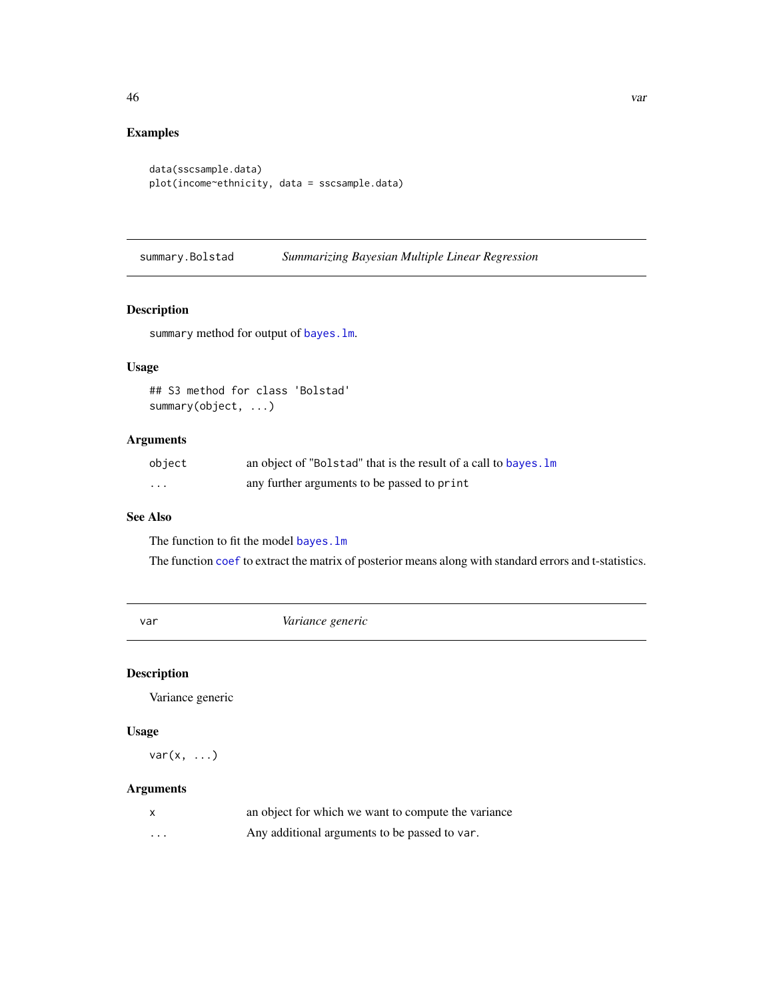# <span id="page-45-0"></span>Examples

```
data(sscsample.data)
plot(income~ethnicity, data = sscsample.data)
```
summary.Bolstad *Summarizing Bayesian Multiple Linear Regression*

# Description

summary method for output of [bayes.lm](#page-4-1).

# Usage

## S3 method for class 'Bolstad' summary(object, ...)

# Arguments

| object   | an object of "Bolstad" that is the result of a call to bayes. Im |
|----------|------------------------------------------------------------------|
| $\cdots$ | any further arguments to be passed to print                      |

# See Also

The function to fit the model [bayes.lm](#page-4-1)

The function [coef](#page-0-0) to extract the matrix of posterior means along with standard errors and t-statistics.

var *Variance generic*

# Description

Variance generic

# Usage

 $var(x, \ldots)$ 

| X        | an object for which we want to compute the variance |
|----------|-----------------------------------------------------|
| $\cdots$ | Any additional arguments to be passed to var.       |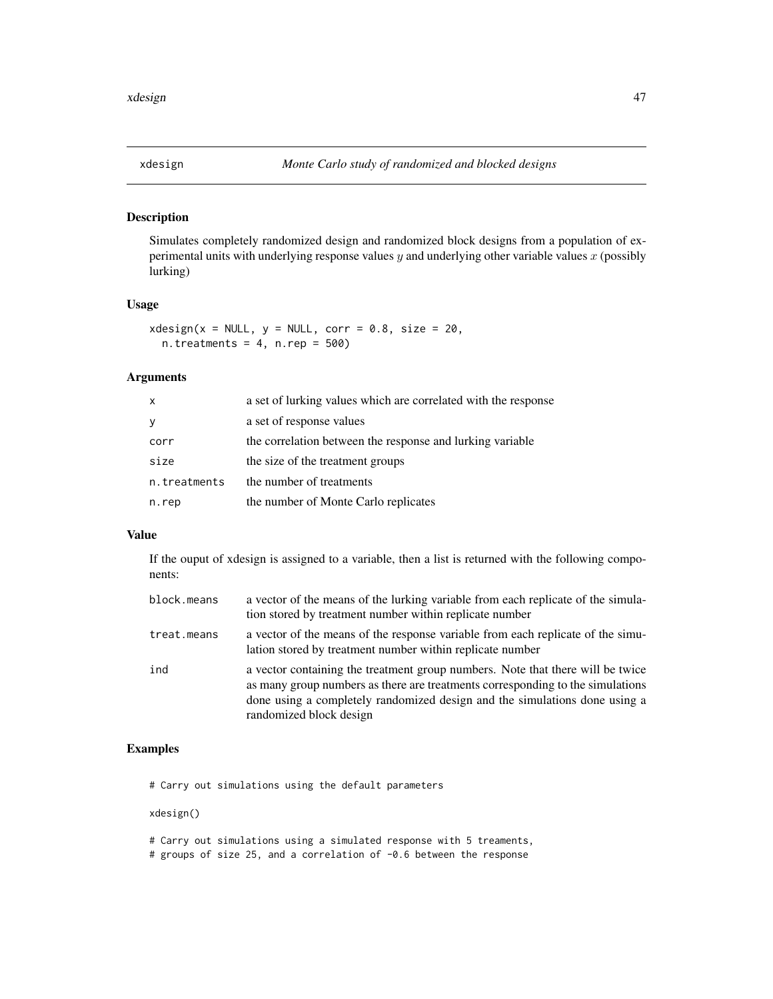<span id="page-46-0"></span>

Simulates completely randomized design and randomized block designs from a population of experimental units with underlying response values  $y$  and underlying other variable values  $x$  (possibly lurking)

## Usage

 $x$ design(x = NULL, y = NULL, corr = 0.8, size = 20,  $n.$ treatments = 4,  $n.$ rep = 500)

# Arguments

| $\mathsf{x}$ | a set of lurking values which are correlated with the response |
|--------------|----------------------------------------------------------------|
| y            | a set of response values                                       |
| corr         | the correlation between the response and lurking variable      |
| size         | the size of the treatment groups                               |
| n.treatments | the number of treatments                                       |
| n.rep        | the number of Monte Carlo replicates                           |

#### Value

If the ouput of xdesign is assigned to a variable, then a list is returned with the following components:

| block.means | a vector of the means of the lurking variable from each replicate of the simula-<br>tion stored by treatment number within replicate number                                                                                                                               |
|-------------|---------------------------------------------------------------------------------------------------------------------------------------------------------------------------------------------------------------------------------------------------------------------------|
| treat.means | a vector of the means of the response variable from each replicate of the simu-<br>lation stored by treatment number within replicate number                                                                                                                              |
| ind         | a vector containing the treatment group numbers. Note that there will be twice<br>as many group numbers as there are treatments corresponding to the simulations<br>done using a completely randomized design and the simulations done using a<br>randomized block design |

# Examples

# Carry out simulations using the default parameters

xdesign()

- # Carry out simulations using a simulated response with 5 treaments,
- # groups of size 25, and a correlation of -0.6 between the response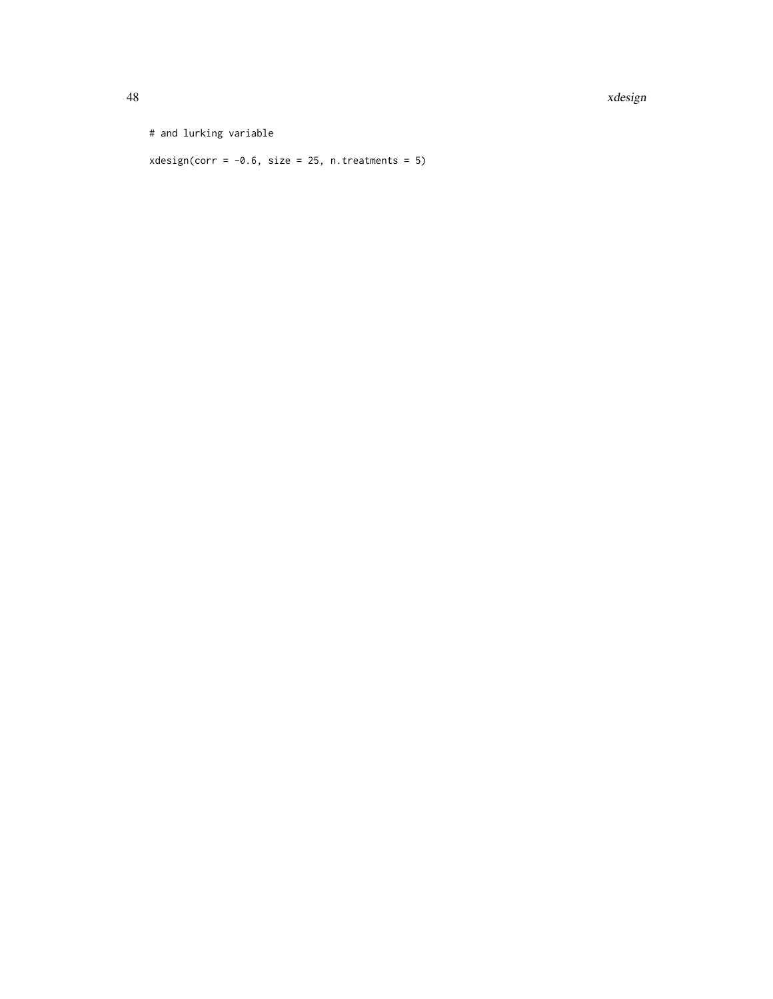48 xdesign

# and lurking variable

 $x$ design(corr = -0.6, size = 25, n.treatments = 5)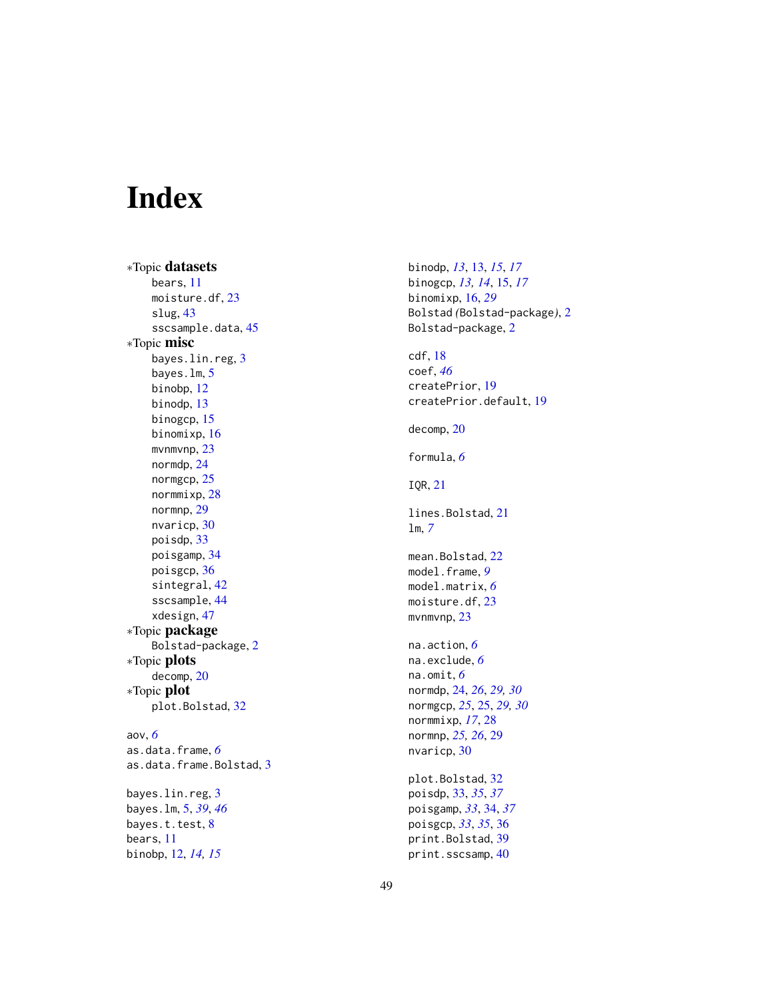# <span id="page-48-0"></span>Index

∗Topic datasets bears , [11](#page-10-0) moisture.df, [23](#page-22-0) slug , [43](#page-42-0) sscsample.data, [45](#page-44-0) ∗Topic misc bayes.lin.reg , [3](#page-2-0) bayes.lm , [5](#page-4-0) binobp , [12](#page-11-0) binodp , [13](#page-12-0) binogcp , [15](#page-14-0) binomixp , [16](#page-15-0) mvnmvnp, [23](#page-22-0) normdp , [24](#page-23-0) normgcp, [25](#page-24-0) normmixp , [28](#page-27-0) normnp , [29](#page-28-0) nvaricp , [30](#page-29-0) poisdp , [33](#page-32-0) poisgamp , [34](#page-33-0) poisgcp , [36](#page-35-0) sintegral , [42](#page-41-0) sscsample , [44](#page-43-0) xdesign , [47](#page-46-0) ∗Topic package Bolstad-package , [2](#page-1-0) ∗Topic plots decomp , [20](#page-19-0) ∗Topic plot plot.Bolstad , [32](#page-31-0) aov , *[6](#page-5-0)* as.data.frame , *[6](#page-5-0)* as.data.frame.Bolstad , [3](#page-2-0) bayes.lin.reg , [3](#page-2-0) bayes.lm , [5](#page-4-0) , *[39](#page-38-0)* , *[46](#page-45-0)* bayes.t.test, <mark>[8](#page-7-0)</mark> bears , [11](#page-10-0)

binobp , [12](#page-11-0) , *[14](#page-13-0) , [15](#page-14-0)*

binodp , *[13](#page-12-0)* , [13](#page-12-0) , *[15](#page-14-0)* , *[17](#page-16-0)* binogcp , *[13](#page-12-0) , [14](#page-13-0)* , [15](#page-14-0) , *[17](#page-16-0)* binomixp , [16](#page-15-0) , *[29](#page-28-0)* Bolstad *(*Bolstad-package *)* , [2](#page-1-0) Bolstad-package , [2](#page-1-0) cdf , [18](#page-17-0) coef , *[46](#page-45-0)* createPrior , [19](#page-18-0) createPrior.default , [19](#page-18-0) decomp , [20](#page-19-0) formula , *[6](#page-5-0)* IQR , [21](#page-20-0) lines.Bolstad, [21](#page-20-0) lm , *[7](#page-6-0)* mean.Bolstad, $22\,$  $22\,$ model.frame , *[9](#page-8-0)* model.matrix , *[6](#page-5-0)* moisture.df , [23](#page-22-0) mvnmvnp, [23](#page-22-0) na.action , *[6](#page-5-0)* na.exclude , *[6](#page-5-0)* na.omit , *[6](#page-5-0)* normdp , [24](#page-23-0) , *[26](#page-25-0)* , *[29](#page-28-0) , [30](#page-29-0)* normgcp , *[25](#page-24-0)* , [25](#page-24-0) , *[29](#page-28-0) , [30](#page-29-0)* normmixp , *[17](#page-16-0)* , [28](#page-27-0) normnp , *[25](#page-24-0) , [26](#page-25-0)* , [29](#page-28-0) nvaricp , [30](#page-29-0) plot.Bolstad , [32](#page-31-0) poisdp , [33](#page-32-0) , *[35](#page-34-0)* , *[37](#page-36-0)* poisgamp , *[33](#page-32-0)* , [34](#page-33-0) , *[37](#page-36-0)* poisgcp , *[33](#page-32-0)* , *[35](#page-34-0)* , [36](#page-35-0) print.Bolstad , [39](#page-38-0) print.sscsamp,  $40$